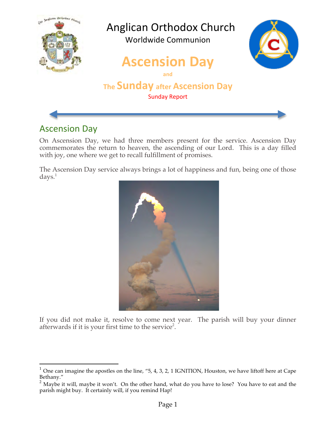

# **Ascension Day**

On Ascension Day, we had three members present for the service. Ascension Day commemorates the return to heaven, the ascending of our Lord. This is a day filled with joy, one where we get to recall fulfillment of promises.

The Ascension Day service always brings a lot of happiness and fun, being one of those days. $1$ 



If you did not make it, resolve to come next year. The parish will buy your dinner afterwards if it is your first time to the service<sup>2</sup>.

<sup>&</sup>lt;sup>1</sup> One can imagine the apostles on the line, "5, 4, 3, 2, 1 IGNITION, Houston, we have liftoff here at Cape Bethany."

 $2$  Maybe it will, maybe it won't. On the other hand, what do you have to lose? You have to eat and the parish might buy. It certainly will, if you remind Hap!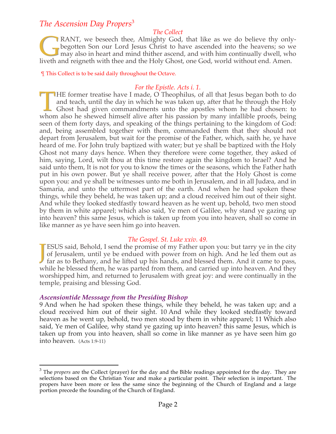## *The Ascension Day Propers*<sup>3</sup>

## *The Collect*

RANT, we beseech thee, Almighty God, that like as we do believe thy onlybegotten Son our Lord Jesus Christ to have ascended into the heavens; so we may also in heart and mind thither ascend, and with him continually dwell, who RANT, we beseech thee, Almighty God, that like as we do believe thy only begotten Son our Lord Jesus Christ to have ascended into the heavens; so we may also in heart and mind thither ascend, and with him continually dwell

¶ This Collect is to be said daily throughout the Octave.

## *For the Epistle. Acts i. 1.*

HE former treatise have I made, O Theophilus, of all that Jesus began both to do and teach, until the day in which he was taken up, after that he through the Holy Ghost had given commandments unto the apostles whom he had chosen: to THE former treatise have I made, O Theophilus, of all that Jesus began both to do and teach, until the day in which he was taken up, after that he through the Holy Ghost had given commandments unto the apostles whom he had seen of them forty days, and speaking of the things pertaining to the kingdom of God: and, being assembled together with them, commanded them that they should not depart from Jerusalem, but wait for the promise of the Father, which, saith he, ye have heard of me. For John truly baptized with water; but ye shall be baptized with the Holy Ghost not many days hence. When they therefore were come together, they asked of him, saying, Lord, wilt thou at this time restore again the kingdom to Israel? And he said unto them, It is not for you to know the times or the seasons, which the Father hath put in his own power. But ye shall receive power, after that the Holy Ghost is come upon you: and ye shall be witnesses unto me both in Jerusalem, and in all Judæa, and in Samaria, and unto the uttermost part of the earth. And when he had spoken these things, while they beheld, he was taken up; and a cloud received him out of their sight. And while they looked stedfastly toward heaven as he went up, behold, two men stood by them in white apparel; which also said, Ye men of Galilee, why stand ye gazing up into heaven? this same Jesus, which is taken up from you into heaven, shall so come in like manner as ye have seen him go into heaven.

### *The Gospel. St. Luke xxiv. 49.*

ESUS said, Behold, I send the promise of my Father upon you: but tarry ye in the city of Jerusalem, until ye be endued with power from on high. And he led them out as **FESUS** said, Behold, I send the promise of my Father upon you: but tarry ye in the city of Jerusalem, until ye be endued with power from on high. And he led them out as far as to Bethany, and he lifted up his hands, and b while he blessed them, he was parted from them, and carried up into heaven. And they worshipped him, and returned to Jerusalem with great joy: and were continually in the temple, praising and blessing God.

### *Ascensiontide Messsage from the Presiding Bishop*

9 And when he had spoken these things, while they beheld, he was taken up; and a cloud received him out of their sight. 10 And while they looked stedfastly toward heaven as he went up, behold, two men stood by them in white apparel; 11 Which also said, Ye men of Galilee, why stand ye gazing up into heaven? this same Jesus, which is taken up from you into heaven, shall so come in like manner as ye have seen him go into heaven. (Acts 1:9-11)

<sup>&</sup>lt;sup>3</sup> The *propers* are the Collect (prayer) for the day and the Bible readings appointed for the day. They are selections based on the Christian Year and make a particular point. Their selection is important. The propers have been more or less the same since the beginning of the Church of England and a large portion precede the founding of the Church of England.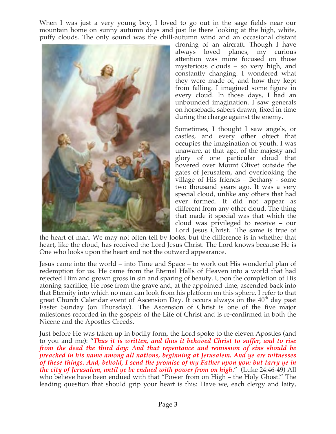When I was just a very young boy, I loved to go out in the sage fields near our mountain home on sunny autumn days and just lie there looking at the high, white, puffy clouds. The only sound was the chill-autumn wind and an occasional distant



droning of an aircraft. Though I have always loved planes, my curious attention was more focused on those mysterious clouds – so very high, and constantly changing. I wondered what they were made of, and how they kept from falling. I imagined some figure in every cloud. In those days, I had an unbounded imagination. I saw generals on horseback, sabers drawn, fixed in time during the charge against the enemy.

Sometimes, I thought I saw angels, or castles, and every other object that occupies the imagination of youth. I was unaware, at that age, of the majesty and glory of one particular cloud that hovered over Mount Olivet outside the gates of Jerusalem, and overlooking the village of His friends – Bethany - some two thousand years ago. It was a very special cloud, unlike any others that had ever formed. It did not appear as different from any other cloud. The thing that made it special was that which the cloud was privileged to receive – our Lord Jesus Christ. The same is true of

the heart of man. We may not often tell by looks, but the difference is in whether that heart, like the cloud, has received the Lord Jesus Christ. The Lord knows because He is One who looks upon the heart and not the outward appearance.

Jesus came into the world – into Time and Space – to work out His wonderful plan of redemption for us. He came from the Eternal Halls of Heaven into a world that had rejected Him and grown gross in sin and sparing of beauty. Upon the completion of His atoning sacrifice, He rose from the grave and, at the appointed time, ascended back into that Eternity into which no man can look from his platform on this sphere. I refer to that great Church Calendar event of Ascension Day. It occurs always on the  $40<sup>th</sup>$  day past Easter Sunday (on Thursday). The Ascension of Christ is one of the five major milestones recorded in the gospels of the Life of Christ and is re-confirmed in both the Nicene and the Apostles Creeds.

Just before He was taken up in bodily form, the Lord spoke to the eleven Apostles (and to you and me): "*Thus it is written, and thus it behoved Christ to suffer, and to rise from the dead the third day: And that repentance and remission of sins should be preached in his name among all nations, beginning at Jerusalem. And ye are witnesses of these things. And, behold, I send the promise of my Father upon you: but tarry ye in the city of Jerusalem, until ye be endued with power from on high*." (Luke 24:46-49) All who believe have been endued with that "Power from on High – the Holy Ghost!" The leading question that should grip your heart is this: Have we, each clergy and laity,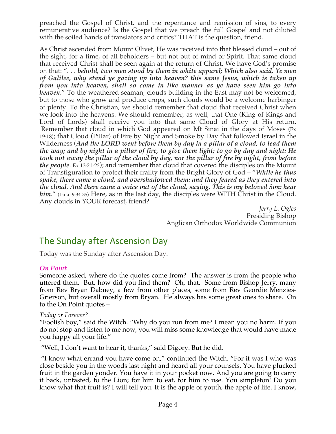preached the Gospel of Christ, and the repentance and remission of sins, to every remunerative audience? Is the Gospel that we preach the full Gospel and not diluted with the soiled hands of translators and critics? THAT is the question, friend.

As Christ ascended from Mount Olivet, He was received into that blessed cloud – out of the sight, for a time, of all beholders – but not out of mind or Spirit. That same cloud that received Christ shall be seen again at the return of Christ. We have God's promise on that: ". . . *behold, two men stood by them in white apparel; Which also said, Ye men of Galilee, why stand ye gazing up into heaven? this same Jesus, which is taken up from you into heaven, shall so come in like manner as ye have seen him go into heaven*." To the weathered seaman, clouds building in the East may not be welcomed, but to those who grow and produce crops, such clouds would be a welcome harbinger of plenty. To the Christian, we should remember that cloud that received Christ when we look into the heavens. We should remember, as well, that One (King of Kings and Lord of Lords) shall receive you into that same Cloud of Glory at His return. Remember that cloud in which God appeared on Mt Sinai in the days of Moses (Ex 19:18); that Cloud (Pillar) of Fire by Night and Smoke by Day that followed Israel in the Wilderness (*And the LORD went before them by day in a pillar of a cloud, to lead them the way; and by night in a pillar of fire, to give them light; to go by day and night: He took not away the pillar of the cloud by day, nor the pillar of fire by night, from before the people*. Ex 13:21-22); and remember that cloud that covered the disciples on the Mount of Transfiguration to protect their frailty from the Bright Glory of God – "*While he thus spake, there came a cloud, and overshadowed them: and they feared as they entered into the cloud. And there came a voice out of the cloud, saying, This is my beloved Son: hear him*." (Luke 9:34-35) Here, as in the last day, the disciples were WITH Christ in the Cloud. Any clouds in YOUR forecast, friend?

> *Jerry L. Ogles* Presiding Bishop Anglican Orthodox Worldwide Communion

# The Sunday after Ascension Day

Today was the Sunday after Ascension Day.

### *On Point*

Someone asked, where do the quotes come from? The answer is from the people who uttered them. But, how did you find them? Oh, that. Some from Bishop Jerry, many from Rev Bryan Dabney, a few from other places, some from Rev Geordie Menzies-Grierson, but overall mostly from Bryan. He always has some great ones to share. On to the On Point quotes –

### *Today or Forever?*

"Foolish boy," said the Witch. "Why do you run from me? I mean you no harm. If you do not stop and listen to me now, you will miss some knowledge that would have made you happy all your life."

"Well, I don't want to hear it, thanks," said Digory. But he did.

 "I know what errand you have come on," continued the Witch. "For it was I who was close beside you in the woods last night and heard all your counsels. You have plucked fruit in the garden yonder. You have it in your pocket now. And you are going to carry it back, untasted, to the Lion; for him to eat, for him to use. You simpleton! Do you know what that fruit is? I will tell you. It is the apple of youth, the apple of life. I know,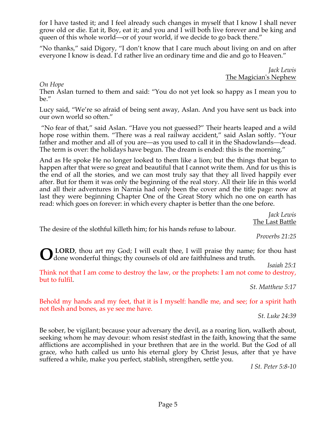for I have tasted it; and I feel already such changes in myself that I know I shall never grow old or die. Eat it, Boy, eat it; and you and I will both live forever and be king and queen of this whole world—or of your world, if we decide to go back there."

"No thanks," said Digory, "I don't know that I care much about living on and on after everyone I know is dead. I'd rather live an ordinary time and die and go to Heaven."

> *Jack Lewis* The Magician's Nephew

*On Hope*

Then Aslan turned to them and said: "You do not yet look so happy as I mean you to be."

Lucy said, "We're so afraid of being sent away, Aslan. And you have sent us back into our own world so often."

 "No fear of that," said Aslan. "Have you not guessed?" Their hearts leaped and a wild hope rose within them. "There was a real railway accident," said Aslan softly. "Your father and mother and all of you are—as you used to call it in the Shadowlands—dead. The term is over: the holidays have begun. The dream is ended: this is the morning."

And as He spoke He no longer looked to them like a lion; but the things that began to happen after that were so great and beautiful that I cannot write them. And for us this is the end of all the stories, and we can most truly say that they all lived happily ever after. But for them it was only the beginning of the real story. All their life in this world and all their adventures in Narnia had only been the cover and the title page: now at last they were beginning Chapter One of the Great Story which no one on earth has read: which goes on forever: in which every chapter is better than the one before.

> *Jack Lewis* The Last Battle

The desire of the slothful killeth him; for his hands refuse to labour.

*Proverbs 21:25*

 **LORD**, thou art my God; I will exalt thee, I will praise thy name; for thou hast done wonderful things; thy counsels of old are faithfulness and truth. done wonderful things; thy counsels of old are faithfulness and truth.

*Isaiah 25:1*

Think not that I am come to destroy the law, or the prophets: I am not come to destroy, but to fulfil.

*St. Matthew 5:17*

Behold my hands and my feet, that it is I myself: handle me, and see; for a spirit hath not flesh and bones, as ye see me have.

*St. Luke 24:39*

Be sober, be vigilant; because your adversary the devil, as a roaring lion, walketh about, seeking whom he may devour: whom resist stedfast in the faith, knowing that the same afflictions are accomplished in your brethren that are in the world. But the God of all grace, who hath called us unto his eternal glory by Christ Jesus, after that ye have suffered a while, make you perfect, stablish, strengthen, settle you.

*I St. Peter 5:8-10*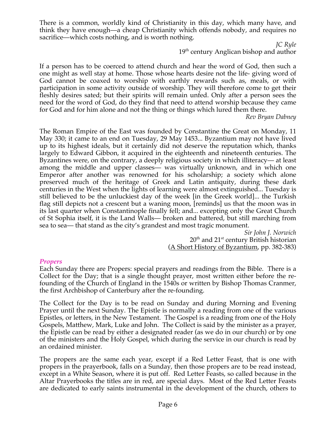There is a common, worldly kind of Christianity in this day, which many have, and think they have enough—a cheap Christianity which offends nobody, and requires no sacrifice—which costs nothing, and is worth nothing.

*JC Ryle*

19<sup>th</sup> century Anglican bishop and author

If a person has to be coerced to attend church and hear the word of God, then such a one might as well stay at home. Those whose hearts desire not the life- giving word of God cannot be coaxed to worship with earthly rewards such as, meals, or with participation in some activity outside of worship. They will therefore come to get their fleshly desires sated; but their spirits will remain unfed. Only after a person sees the need for the word of God, do they find that need to attend worship because they came for God and for him alone and not the thing or things which lured them there.

*Rev Bryan Dabney*

The Roman Empire of the East was founded by Constantine the Great on Monday, 11 May 330; it came to an end on Tuesday, 29 May 1453... Byzantium may not have lived up to its highest ideals, but it certainly did not deserve the reputation which, thanks largely to Edward Gibbon, it acquired in the eighteenth and nineteenth centuries. The Byzantines were, on the contrary, a deeply religious society in which illiteracy— at least among the middle and upper classes— was virtually unknown, and in which one Emperor after another was renowned for his scholarship; a society which alone preserved much of the heritage of Greek and Latin antiquity, during these dark centuries in the West when the lights of learning were almost extinguished... Tuesday is still believed to be the unluckiest day of the week [in the Greek world]... the Turkish flag still depicts not a crescent but a waning moon, [reminds] us that the moon was in its last quarter when Constantinople finally fell; and... excepting only the Great Church of St Sophia itself, it is the Land Walls— broken and battered, but still marching from sea to sea— that stand as the city's grandest and most tragic monument.

> *Sir John J. Norwich*  $20^{\text{th}}$  and  $21^{\text{st}}$  century British historian (A Short History of Byzantium, pp. 382-383)

### *Propers*

Each Sunday there are Propers: special prayers and readings from the Bible. There is a Collect for the Day; that is a single thought prayer, most written either before the refounding of the Church of England in the 1540s or written by Bishop Thomas Cranmer, the first Archbishop of Canterbury after the re-founding.

The Collect for the Day is to be read on Sunday and during Morning and Evening Prayer until the next Sunday. The Epistle is normally a reading from one of the various Epistles, or letters, in the New Testament. The Gospel is a reading from one of the Holy Gospels, Matthew, Mark, Luke and John. The Collect is said by the minister as a prayer, the Epistle can be read by either a designated reader (as we do in our church) or by one of the ministers and the Holy Gospel, which during the service in our church is read by an ordained minister.

The propers are the same each year, except if a Red Letter Feast, that is one with propers in the prayerbook, falls on a Sunday, then those propers are to be read instead, except in a White Season, where it is put off. Red Letter Feasts, so called because in the Altar Prayerbooks the titles are in red, are special days. Most of the Red Letter Feasts are dedicated to early saints instrumental in the development of the church, others to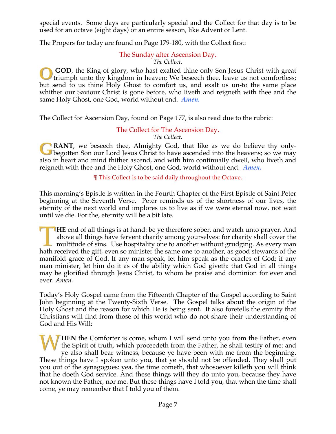special events. Some days are particularly special and the Collect for that day is to be used for an octave (eight days) or an entire season, like Advent or Lent.

The Propers for today are found on Page 179-180, with the Collect first:

## The Sunday after Ascension Day.

*The Collect.*

**GOD**, the King of glory, who hast exalted thine only Son Jesus Christ with great triumph unto thy kingdom in heaven; We beseech thee, leave us not comfortless; but send to us thine Holy Ghost to comfort us, and exalt us un-to the same place whither our Saviour Christ is gone before, who liveth and reigneth with thee and the same Holy Ghost, one God, world without end. *Amen.* **O**

The Collect for Ascension Day, found on Page 177, is also read due to the rubric:

#### The Collect for The Ascension Day. *The Collect.*

**RANT**, we beseech thee, Almighty God, that like as we do believe thy only-**GRANT**, we beseech thee, Almighty God, that like as we do believe thy only-<br>begotten Son our Lord Jesus Christ to have ascended into the heavens; so we may also in heart and mind thither ascend, and with him continually dwell, who liveth and reigneth with thee and the Holy Ghost, one God, world without end. *Amen.*

¶ This Collect is to be said daily throughout the Octave.

This morning's Epistle is written in the Fourth Chapter of the First Epistle of Saint Peter beginning at the Seventh Verse. Peter reminds us of the shortness of our lives, the eternity of the next world and implores us to live as if we were eternal now, not wait until we die. For the, eternity will be a bit late.

**HE** end of all things is at hand: be ye therefore sober, and watch unto prayer. And above all things have fervent charity among yourselves: for charity shall cover the **THE** end of all things is at hand: be ye therefore sober, and watch unto prayer. And above all things have fervent charity among yourselves: for charity shall cover the multitude of sins. Use hospitality one to another wi hath received the gift, even so minister the same one to another, as good stewards of the manifold grace of God. If any man speak, let him speak as the oracles of God; if any man minister, let him do it as of the ability which God giveth: that God in all things may be glorified through Jesus Christ, to whom be praise and dominion for ever and ever. *Amen.*

Today's Holy Gospel came from the Fifteenth Chapter of the Gospel according to Saint John beginning at the Twenty-Sixth Verse. The Gospel talks about the origin of the Holy Ghost and the reason for which He is being sent. It also foretells the enmity that Christians will find from those of this world who do not share their understanding of God and His Will:

**HEN** the Comforter is come, whom I will send unto you from the Father, even the Spirit of truth, which proceedeth from the Father, he shall testify of me: and ye also shall bear witness, because ye have been with me from the beginning. These things have I spoken unto you, that ye should not be offended. They shall put you out of the synagogues: yea, the time cometh, that whosoever killeth you will think that he doeth God service. And these things will they do unto you, because they have not known the Father, nor me. But these things have I told you, that when the time shall come, ye may remember that I told you of them. W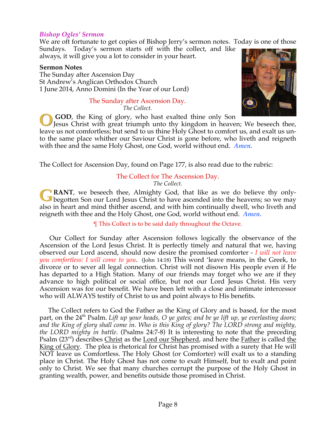### *Bishop Ogles' Sermon*

We are oft fortunate to get copies of Bishop Jerry's sermon notes. Today is one of those Sundays. Today's sermon starts off with the collect, and like

always, it will give you a lot to consider in your heart.

#### **Sermon Notes**

The Sunday after Ascension Day St Andrew's Anglican Orthodox Church 1 June 2014, Anno Domini (In the Year of our Lord)

#### The Sunday after Ascension Day. *The Collect.*



**GOD**, the King of glory, who hast exalted thine only Son

Jesus Christ with great triumph unto thy kingdom in heaven; We beseech thee, leave us not comfortless; but send to us thine Holy Ghost to comfort us, and exalt us unto the same place whither our Saviour Christ is gone before, who liveth and reigneth with thee and the same Holy Ghost, one God, world without end. *Amen.* **O**

The Collect for Ascension Day, found on Page 177, is also read due to the rubric:

## The Collect for The Ascension Day.

*The Collect.*

**RANT**, we beseech thee, Almighty God, that like as we do believe thy only-**GRANT**, we beseech thee, Almighty God, that like as we do believe thy only-<br>begotten Son our Lord Jesus Christ to have ascended into the heavens; so we may also in heart and mind thither ascend, and with him continually dwell, who liveth and reigneth with thee and the Holy Ghost, one God, world without end. *Amen.*

¶ This Collect is to be said daily throughout the Octave.

 Our Collect for Sunday after Ascension follows logically the observance of the Ascension of the Lord Jesus Christ. It is perfectly timely and natural that we, having observed our Lord ascend, should now desire the promised comforter - *I will not leave you comfortless: I will come to you*. (John 14:18) This word 'leave means, in the Greek, to divorce or to sever all legal connection. Christ will not disown His people even if He has departed to a High Station. Many of our friends may forget who we are if they advance to high political or social office, but not our Lord Jesus Christ. His very Ascension was for our benefit. We have been left with a close and intimate intercessor who will ALWAYS testify of Christ to us and point always to His benefits.

 The Collect refers to God the Father as the King of Glory and is based, for the most part, on the 24<sup>th</sup> Psalm. Lift up your heads, O ye gates; and be ye lift up, ye everlasting doors; *and the King of glory shall come in. Who is this King of glory? The LORD strong and mighty, the LORD mighty in battle*. (Psalms 24:7-8) It is interesting to note that the preceding Psalm (23<sup>rd</sup>) describes Christ as the Lord our Shepherd, and here the Father is called the King of Glory. The plea is rhetorical for Christ has promised with a surety that He will NOT leave us Comfortless. The Holy Ghost (or Comforter) will exalt us to a standing place in Christ. The Holy Ghost has not come to exalt Himself, but to exalt and point only to Christ. We see that many churches corrupt the purpose of the Holy Ghost in granting wealth, power, and benefits outside those promised in Christ.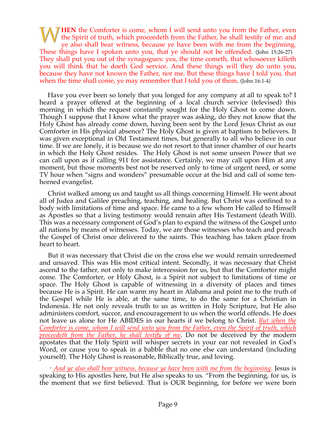**HEN** the Comforter is come, whom I will send unto you from the Father, even the Spirit of truth, which proceedeth from the Father, he shall testify of me: and ye also shall bear witness, because ye have been with me from the beginning. These things have I spoken unto you, that ye should not be offended. (John 15:26-27) They shall put you out of the synagogues: yea, the time cometh, that whosoever killeth you will think that he doeth God service. And these things will they do unto you, because they have not known the Father, nor me. But these things have I told you, that when the time shall come, ye may remember that I told you of them. (John 16:1-4) W

 Have you ever been so lonely that you longed for any company at all to speak to? I heard a prayer offered at the beginning of a local church service (televised) this morning in which the request constantly sought for the Holy Ghost to come down. Though I suppose that I know what the prayer was asking, do they not know that the Holy Ghost has already come down, having been sent by the Lord Jesus Christ as our Comforter in His physical absence? The Holy Ghost is given at baptism to believers. It was given exceptional in Old Testament times, but generally to all who believe in our time. If we are lonely, it is because we do not resort to that inner chamber of our hearts in which the Holy Ghost resides. The Holy Ghost is not some unseen Power that we can call upon as if calling 911 for assistance. Certainly, we may call upon Him at any moment, but those moments best not be reserved only to time of urgent need, or some TV hour when "signs and wonders" presumable occur at the bid and call of some tenhorned evangelist.

 Christ walked among us and taught us all things concerning Himself. He went about all of Judea and Galilee preaching, teaching, and healing. But Christ was confined to a body with limitations of time and space. He came to a few whom He called to Himself as Apostles so that a living testimony would remain after His Testament (death Will). This was a necessary component of God's plan to expand the witness of the Gospel unto all nations by means of witnesses. Today, we are those witnesses who teach and preach the Gospel of Christ once delivered to the saints. This teaching has taken place from heart to heart.

 But it was necessary that Christ die on the cross else we would remain unredeemed and unsaved. This was His most critical intent. Secondly, it was necessary that Christ ascend to the father, not only to make intercession for us, but that the Comforter might come. The Comforter, or Holy Ghost, is a Spirit not subject to limitations of time or space. The Holy Ghost is capable of witnessing in a diversity of places and times because He is a Spirit. He can warm my heart in Alabama and point me to the truth of the Gospel while He is able, at the same time, to do the same for a Christian in Indonesia. He not only reveals truth to us as written in Holy Scripture, but He also administers comfort, succor, and encouragement to us when the world offends. He does not leave us alone for He ABIDES in our hearts if we belong to Christ. *But when the Comforter is come, whom I will send unto you from the Father, even the Spirit of truth, which proceedeth from the Father, he shall testify of me*. Do not be deceived by the modern apostates that the Holy Spirit will whisper secrets in your ear not revealed in God's Word, or cause you to speak in a babble that no one else can understand (including yourself). The Holy Ghost is reasonable, Biblically true, and loving.

 *<sup>27</sup> And ye also shall bear witness, because ye have been with me from the beginning*. Jesus is speaking to His apostles here, but He also speaks to us. "From the beginning, for us, is the moment that we first believed. That is OUR beginning, for before we were born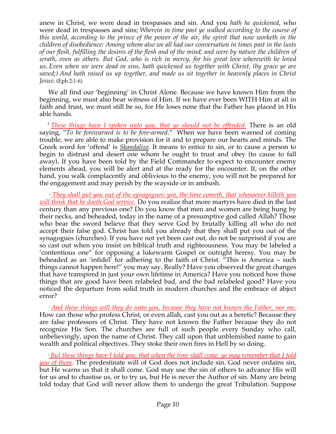anew in Christ, we were dead in trespasses and sin. And you *hath he quickened*, who were dead in trespasses and sins; *Wherein in time past ye walked according to the course of this world, according to the prince of the power of the air, the spirit that now worketh in the children of disobedience: Among whom also we all had our conversation in times past in the lusts of our flesh, fulfilling the desires of the flesh and of the mind; and were by nature the children of wrath, even as others. But God, who is rich in mercy, for his great love wherewith he loved us, Even when we were dead in sins, hath quickened us together with Christ, (by grace ye are saved;) And hath raised us up together, and made us sit together in heavenly places in Christ Jesus*: (Eph 2:1-6)

 We all find our 'beginning' in Christ Alone. Because we have known Him from the beginning, we must also bear witness of Him. If we have ever been WITH Him at all in faith and trust, we must still be so, for He loses none that the Father has placed in His able hands.

 <sup>1</sup> *These things have I spoken unto you, that ye should not be offended.* There is an old saying, "*To be forewarned is to be fore-armed*." When we have been warned of coming trouble, we are able to make provision for it and to prepare our hearts and minds. The Greek word for 'offend' is *Skandalizo.* It means to entice to sin, or to cause a person to begin to distrust and desert one whom he ought to trust and obey (to cause to fall away). If you have been told by the Field Commander to expect to encounter enemy elements ahead, you will be alert and at the ready for the encounter. If, on the other hand, you walk complacently and oblivious to the enemy, you will not be prepared for the engagement and may perish by the wayside or in ambush.

 *<sup>2</sup> They shall put you out of the synagogues: yea, the time cometh, that whosoever killeth you will think that he doeth God service.* Do you realize that more martyrs have died in the last century than any previous one? Do you know that men and women are being hung by their necks, and beheaded, today in the name of a presumptive god called Allah? Those who bear the sword believe that they serve God by brutally killing all who do not accept their false god. Christ has told you already that they shall put you out of the synagogues (churches). If you have not yet been cast out, do not be surprised if you are so cast out when you insist on biblical truth and righteousness. You may be labeled a 'contentious one" for opposing a lukewarm Gospel or outright heresy. You may be beheaded as an 'infidel' for adhering to the faith of Christ. "This is America – such things cannot happen here!" you may say. Really? Have you observed the great changes that have transpired in just your own lifetime in America? Have you noticed how those things that are good have been relabeled bad, and the bad relabeled good? Have you noticed the departure from solid truth in modern churches and the embrace of abject error?

 *<sup>3</sup> And these things will they do unto you, because they have not known the Father, nor me.* How can those who profess Christ, or even allah, cast you out as a heretic? Because they are false professors of Christ. They have not known the Father because they do not recognize His Son. The churches are full of such people every Sunday who call, unbelievingly, upon the name of Christ. They call upon that unblemished name to gain wealth and political objectives. They stoke their own fires in Hell by so doing.

 *<sup>4</sup> But these things have I told you, that when the time shall come, ye may remember that I told you of them*. The predestinate will of God does not include sin. God never ordains sin, but He warns us that it shall come. God may use the sin of others to advance His will for us and to chastise us, or to try us, but He is never the Author of sin. Many are being told today that God will never allow them to undergo the great Tribulation. Suppose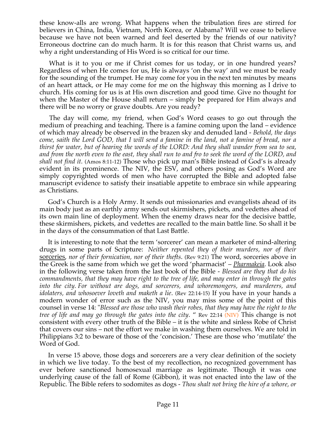these know-alls are wrong. What happens when the tribulation fires are stirred for believers in China, India, Vietnam, North Korea, or Alabama? Will we cease to believe because we have not been warned and feel deserted by the friends of our nativity? Erroneous doctrine can do much harm. It is for this reason that Christ warns us, and why a right understanding of His Word is so critical for our time.

 What is it to you or me if Christ comes for us today, or in one hundred years? Regardless of when He comes for us, He is always 'on the way' and we must be ready for the sounding of the trumpet. He may come for you in the next ten minutes by means of an heart attack, or He may come for me on the highway this morning as I drive to church. His coming for us is at His own discretion and good time. Give no thought for when the Master of the House shall return – simply be prepared for Him always and there will be no worry or grave doubts. Are you ready?

 The day will come, my friend, when God's Word ceases to go out through the medium of preaching and teaching. There is a famine coming upon the land – evidence of which may already be observed in the brazen sky and denuded land - *Behold, the days come, saith the Lord GOD, that I will send a famine in the land, not a famine of bread, nor a thirst for water, but of hearing the words of the LORD: And they shall wander from sea to sea, and from the north even to the east, they shall run to and fro to seek the word of the LORD, and shall not find it.* (Amos 8:11-12) Those who pick up man's Bible instead of God's is already evident in its prominence. The NIV, the ESV, and others posing as God's Word are simply copyrighted words of men who have corrupted the Bible and adopted false manuscript evidence to satisfy their insatiable appetite to embrace sin while appearing as Christians.

 God's Church is a Holy Army. It sends out missionaries and evangelists ahead of its main body just as an earthly army sends out skirmishers, pickets, and vedettes ahead of its own main line of deployment. When the enemy draws near for the decisive battle, these skirmishers, pickets, and vedettes are recalled to the main battle line. So shall it be in the days of the consummation of that Last Battle.

 It is interesting to note that the term 'sorcerer' can mean a marketer of mind-altering drugs in some parts of Scripture: *Neither repented they of their murders, nor of their* sorceries, *nor of their fornication, nor of their thefts*. (Rev 9:21) The word, sorceries above in the Greek is the same from which we get the word 'pharmacist' – *Pharmakeia*. Look also in the following verse taken from the last book of the Bible - *Blessed are they that do his commandments, that they may have right to the tree of life, and may enter in through the gates into the city. For without are dogs, and sorcerers, and whoremongers, and murderers, and idolaters, and whosoever loveth and maketh a lie*. (Rev 22:14-15) If you have in your hands a modern wonder of error such as the NIV, you may miss some of the point of this counsel in verse 14: "*Blessed are those who wash their robes, that they may have the right to the tree of life and may go through the gates into the city*. " Rev 22:14 (NIV) This change is not consistent with every other truth of the Bible – it is the white and sinless Robe of Christ that covers our sins – not the effort we make in washing them ourselves. We are told in Philippians 3:2 to beware of those of the 'concision.' These are those who 'mutilate' the Word of God.

 In verse 15 above, those dogs and sorcerers are a very clear definition of the society in which we live today. To the best of my recollection, no recognized government has ever before sanctioned homosexual marriage as legitimate. Though it was one underlying cause of the fall of Rome (Gibbon), it was not enacted into the law of the Republic. The Bible refers to sodomites as dogs - *Thou shalt not bring the hire of a whore, or*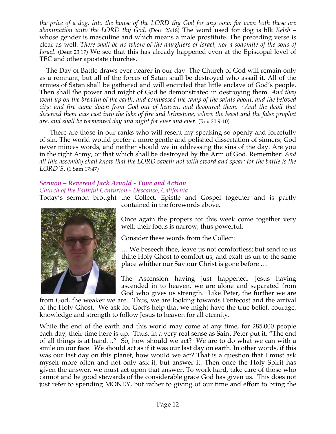*the price of a dog, into the house of the LORD thy God for any vow: for even both these are abomination unto the LORD thy God*. (Deut 23:18) The word used for dog is blk *Keleb –* whose gender is masculine and which means a male prostitute. The preceding verse is clear as well: *There shall be no whore of the daughters of Israel, nor a sodomite of the sons of Israel*. (Deut 23:17) We see that this has already happened even at the Episcopal level of TEC and other apostate churches.

 The Day of Battle draws ever nearer in our day. The Church of God will remain only as a remnant, but all of the forces of Satan shall be destroyed who assail it. All of the armies of Satan shall be gathered and will encircled that little enclave of God's people. Then shall the power and might of God be demonstrated in destroying them. *And they went up on the breadth of the earth, and compassed the camp of the saints about, and the beloved city: and fire came down from God out of heaven, and devoured them. 10 And the devil that deceived them was cast into the lake of fire and brimstone, where the beast and the false prophet are, and shall be tormented day and night for ever and ever*. (Rev 20:9-10)

 There are those in our ranks who will resent my speaking so openly and forcefully of sin. The world would prefer a more gentle and polished dissertation of sinners; God never minces words, and neither should we in addressing the sins of the day. Are you in the right Army, or that which shall be destroyed by the Arm of God. Remember: *And all this assembly shall know that the LORD saveth not with sword and spear: for the battle is the LORD'S*. (1 Sam 17:47)

## *Sermon – Reverend Jack Arnold - Time and Action Church of the Faithful Centurion - Descanso, California*

Today's sermon brought the Collect, Epistle and Gospel together and is partly



contained in the forewords above.

Once again the propers for this week come together very well, their focus is narrow, thus powerful.

Consider these words from the Collect:

… We beseech thee, leave us not comfortless; but send to us thine Holy Ghost to comfort us, and exalt us un-to the same place whither our Saviour Christ is gone before …

The Ascension having just happened, Jesus having ascended in to heaven, we are alone and separated from God who gives us strength. Like Peter, the further we are

from God, the weaker we are. Thus, we are looking towards Pentecost and the arrival of the Holy Ghost. We ask for God's help that we might have the true belief, courage, knowledge and strength to follow Jesus to heaven for all eternity.

While the end of the earth and this world may come at any time, for 285,000 people each day, their time here is up. Thus, in a very real sense as Saint Peter put it, "The end of all things is at hand…" So, how should we act? We are to do what we can with a smile on our face. We should act as if it was our last day on earth. In other words, if this was our last day on this planet, how would we act? That is a question that I must ask myself more often and not only ask it, but answer it. Then once the Holy Spirit has given the answer, we must act upon that answer. To work hard, take care of those who cannot and be good stewards of the considerable grace God has given us. This does not just refer to spending MONEY, but rather to giving of our time and effort to bring the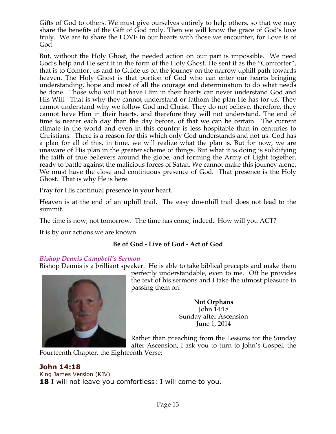Gifts of God to others. We must give ourselves entirely to help others, so that we may share the benefits of the Gift of God truly. Then we will know the grace of God's love truly. We are to share the LOVE in our hearts with those we encounter, for Love is of God.

But, without the Holy Ghost, the needed action on our part is impossible. We need God's help and He sent it in the form of the Holy Ghost. He sent it as the "Comforter", that is to Comfort us and to Guide us on the journey on the narrow uphill path towards heaven. The Holy Ghost is that portion of God who can enter our hearts bringing understanding, hope and most of all the courage and determination to do what needs be done. Those who will not have Him in their hearts can never understand God and His Will. That is why they cannot understand or fathom the plan He has for us. They cannot understand why we follow God and Christ. They do not believe, therefore, they cannot have Him in their hearts, and therefore they will not understand. The end of time is nearer each day than the day before, of that we can be certain. The current climate in the world and even in this country is less hospitable than in centuries to Christians. There is a reason for this which only God understands and not us. God has a plan for all of this, in time, we will realize what the plan is. But for now, we are unaware of His plan in the greater scheme of things. But what it is doing is solidifying the faith of true believers around the globe, and forming the Army of Light together, ready to battle against the malicious forces of Satan. We cannot make this journey alone. We must have the close and continuous presence of God. That presence is the Holy Ghost. That is why He is here.

Pray for His continual presence in your heart.

Heaven is at the end of an uphill trail. The easy downhill trail does not lead to the summit.

The time is now, not tomorrow. The time has come, indeed. How will you ACT?

It is by our actions we are known.

## **Be of God - Live of God - Act of God**

### *Bishop Dennis Campbell's Sermon*

Bishop Dennis is a brilliant speaker. He is able to take biblical precepts and make them



perfectly understandable, even to me. Oft he provides the text of his sermons and I take the utmost pleasure in passing them on:

> **Not Orphans** John 14:18 Sunday after Ascension June 1, 2014

Rather than preaching from the Lessons for the Sunday after Ascension, I ask you to turn to John's Gospel, the

Fourteenth Chapter, the Eighteenth Verse:

### **John 14:18**

King James Version (KJV) **18** I will not leave you comfortless: I will come to you.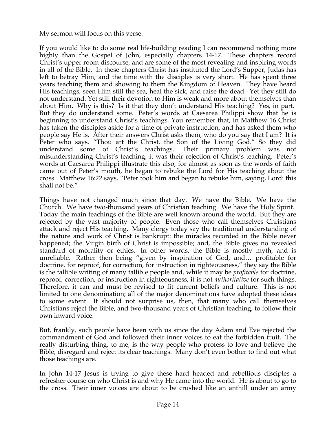My sermon will focus on this verse.

If you would like to do some real life-building reading I can recommend nothing more highly than the Gospel of John, especially chapters 14-17. These chapters record Christ's upper room discourse, and are some of the most revealing and inspiring words in all of the Bible. In these chapters Christ has instituted the Lord's Supper, Judas has left to betray Him, and the time with the disciples is very short. He has spent three years teaching them and showing to them the Kingdom of Heaven. They have heard His teachings, seen Him still the sea, heal the sick, and raise the dead. Yet they still do not understand. Yet still their devotion to Him is weak and more about themselves than about Him. Why is this? Is it that they don't understand His teaching? Yes, in part. But they do understand some. Peter's words at Caesarea Philippi show that he is beginning to understand Christ's teachings. You remember that, in Matthew 16 Christ has taken the disciples aside for a time of private instruction, and has asked them who people say He is. After their answers Christ asks them, who do you say that I am? It is Peter who says, "Thou art the Christ, the Son of the Living God." So they did understand some of Christ's teachings. Their primary problem was not misunderstanding Christ's teaching, it was their rejection of Christ's teaching. Peter's words at Caesarea Philippi illustrate this also, for almost as soon as the words of faith came out of Peter's mouth, he began to rebuke the Lord for His teaching about the cross. Matthew 16:22 says, "Peter took him and began to rebuke him, saying, Lord: this shall not be."

Things have not changed much since that day. We have the Bible. We have the Church. We have two-thousand years of Christian teaching. We have the Holy Spirit. Today the main teachings of the Bible are well known around the world. But they are rejected by the vast majority of people. Even those who call themselves Christians attack and reject His teaching. Many clergy today say the traditional understanding of the nature and work of Christ is bankrupt: the miracles recorded in the Bible never happened; the Virgin birth of Christ is impossible; and, the Bible gives no revealed standard of morality or ethics. In other words, the Bible is mostly myth, and is unreliable. Rather then being "given by inspiration of God, and… profitable for doctrine, for reproof, for correction, for instruction in righteousness," they say the Bible is the fallible writing of many fallible people and, while it may be *profitable* for doctrine, reproof, correction, or instruction in righteousness, it is not *authoritative* for such things. Therefore, it can and must be revised to fit current beliefs and culture. This is not limited to one denomination; all of the major denominations have adopted these ideas to some extent. It should not surprise us, then, that many who call themselves Christians reject the Bible, and two-thousand years of Christian teaching, to follow their own inward voice.

But, frankly, such people have been with us since the day Adam and Eve rejected the commandment of God and followed their inner voices to eat the forbidden fruit. The really disturbing thing, to me, is the way people who profess to love and believe the Bible, disregard and reject its clear teachings. Many don't even bother to find out what those teachings are.

In John 14-17 Jesus is trying to give these hard headed and rebellious disciples a refresher course on who Christ is and why He came into the world. He is about to go to the cross. Their inner voices are about to be crushed like an anthill under an army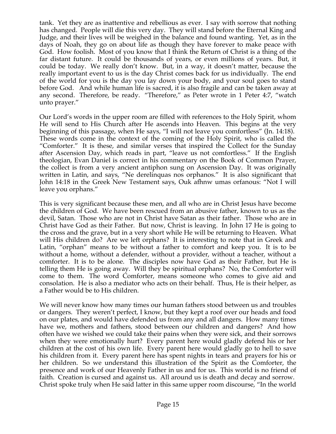tank. Yet they are as inattentive and rebellious as ever. I say with sorrow that nothing has changed. People will die this very day. They will stand before the Eternal King and Judge, and their lives will be weighed in the balance and found wanting. Yet, as in the days of Noah, they go on about life as though they have forever to make peace with God. How foolish. Most of you know that I think the Return of Christ is a thing of the far distant future. It could be thousands of years, or even millions of years. But, it could be today. We really don't know. But, in a way, it doesn't matter, because the really important event to us is the day Christ comes back for us individually. The end of the world for you is the day you lay down your body, and your soul goes to stand before God. And while human life is sacred, it is also fragile and can be taken away at any second. Therefore, be ready. "Therefore," as Peter wrote in 1 Peter 4:7, "watch unto prayer."

Our Lord's words in the upper room are filled with references to the Holy Spirit, whom He will send to His Church after He ascends into Heaven. This begins at the very beginning of this passage, when He says, "I will not leave you comfortless" (Jn. 14:18). These words come in the context of the coming of the Holy Spirit, who is called the "Comforter." It is these, and similar verses that inspired the Collect for the Sunday after Ascension Day, which reads in part, "leave us not comfortless." If the English theologian, Evan Daniel is correct in his commentary on the Book of Common Prayer, the collect is from a very ancient antiphon sung on Ascension Day. It was originally written in Latin, and says, "Ne derelinquas nos orphanos." It is also significant that John 14:18 in the Greek New Testament says, Ouk afhnw umas orfanous: "Not I will leave you orphans."

This is very significant because these men, and all who are in Christ Jesus have become the children of God. We have been rescued from an abusive father, known to us as the devil, Satan. Those who are not in Christ have Satan as their father. Those who are in Christ have God as their Father. But now, Christ is leaving. In John 17 He is going to the cross and the grave, but in a very short while He will be returning to Heaven. What will His children do? Are we left orphans? It is interesting to note that in Greek and Latin, "orphan" means to be without a father to comfort and keep you. It is to be without a home, without a defender, without a provider, without a teacher, without a comforter. It is to be alone. The disciples now have God as their Father, but He is telling them He is going away. Will they be spiritual orphans? No, the Comforter will come to them. The word Comforter, means someone who comes to give aid and consolation. He is also a mediator who acts on their behalf. Thus, He is their helper, as a Father would be to His children.

We will never know how many times our human fathers stood between us and troubles or dangers. They weren't perfect, I know, but they kept a roof over our heads and food on our plates, and would have defended us from any and all dangers. How many times have we, mothers and fathers, stood between our children and dangers? And how often have we wished we could take their pains when they were sick, and their sorrows when they were emotionally hurt? Every parent here would gladly defend his or her children at the cost of his own life. Every parent here would gladly go to hell to save his children from it. Every parent here has spent nights in tears and prayers for his or her children. So we understand this illustration of the Spirit as the Comforter, the presence and work of our Heavenly Father in us and for us. This world is no friend of faith. Creation is cursed and against us. All around us is death and decay and sorrow. Christ spoke truly when He said latter in this same upper room discourse, "In the world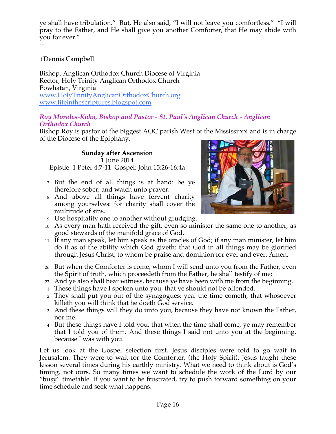ye shall have tribulation." But, He also said, "I will not leave you comfortless." "I will pray to the Father, and He shall give you another Comforter, that He may abide with you for ever."

--

## +Dennis Campbell

Bishop, Anglican Orthodox Church Diocese of Virginia Rector, Holy Trinity Anglican Orthodox Church Powhatan, Virginia www.HolyTrinityAnglicanOrthodoxChurch.org www.lifeinthescriptures.blogspot.com

#### *Roy Morales-Kuhn, Bishop and Pastor - St. Paul's Anglican Church - Anglican Orthodox Church*

Bishop Roy is pastor of the biggest AOC parish West of the Mississippi and is in charge of the Diocese of the Epiphany.

**Sunday after Ascension** 1 June 2014 Epistle: 1 Peter 4:7-11 Gospel: John 15:26-16:4a

- <sup>7</sup> But the end of all things is at hand: be ye therefore sober, and watch unto prayer.
- <sup>8</sup> And above all things have fervent charity among yourselves: for charity shall cover the multitude of sins.



- <sup>9</sup> Use hospitality one to another without grudging.
- <sup>10</sup> As every man hath received the gift, even so minister the same one to another, as good stewards of the manifold grace of God.
- <sup>11</sup> If any man speak, let him speak as the oracles of God; if any man minister, let him do it as of the ability which God giveth: that God in all things may be glorified through Jesus Christ, to whom be praise and dominion for ever and ever. Amen.
- <sup>26</sup> But when the Comforter is come, whom I will send unto you from the Father, even the Spirit of truth, which proceedeth from the Father, he shall testify of me:
- <sup>27</sup> And ye also shall bear witness, because ye have been with me from the beginning.
- <sup>1</sup> These things have I spoken unto you, that ye should not be offended.
- <sup>2</sup> They shall put you out of the synagogues: yea, the time cometh, that whosoever killeth you will think that he doeth God service.
- <sup>3</sup> And these things will they do unto you, because they have not known the Father, nor me.
- <sup>4</sup> But these things have I told you, that when the time shall come, ye may remember that I told you of them. And these things I said not unto you at the beginning, because I was with you.

Let us look at the Gospel selection first. Jesus disciples were told to go wait in Jerusalem. They were to wait for the Comforter, (the Holy Spirit). Jesus taught these lesson several times during his earthly ministry. What we need to think about is God's timing, not ours. So many times we want to schedule the work of the Lord by our "busy" timetable. If you want to be frustrated, try to push forward something on your time schedule and seek what happens.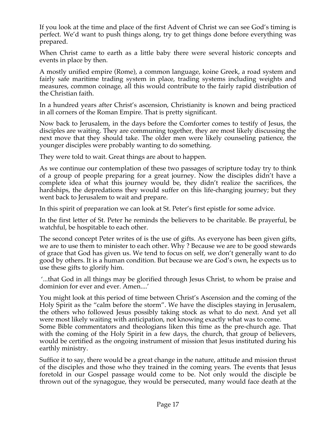If you look at the time and place of the first Advent of Christ we can see God's timing is perfect. We'd want to push things along, try to get things done before everything was prepared.

When Christ came to earth as a little baby there were several historic concepts and events in place by then.

A mostly unified empire (Rome), a common language, koine Greek, a road system and fairly safe maritime trading system in place, trading systems including weights and measures, common coinage, all this would contribute to the fairly rapid distribution of the Christian faith.

In a hundred years after Christ's ascension, Christianity is known and being practiced in all corners of the Roman Empire. That is pretty significant.

Now back to Jerusalem, in the days before the Comforter comes to testify of Jesus, the disciples are waiting. They are communing together, they are most likely discussing the next move that they should take. The older men were likely counseling patience, the younger disciples were probably wanting to do something.

They were told to wait. Great things are about to happen.

As we continue our contemplation of these two passages of scripture today try to think of a group of people preparing for a great journey. Now the disciples didn't have a complete idea of what this journey would be, they didn't realize the sacrifices, the hardships, the depredations they would suffer on this life-changing journey; but they went back to Jerusalem to wait and prepare.

In this spirit of preparation we can look at St. Peter's first epistle for some advice.

In the first letter of St. Peter he reminds the believers to be charitable. Be prayerful, be watchful, be hospitable to each other.

The second concept Peter writes of is the use of gifts. As everyone has been given gifts, we are to use them to minister to each other. Why ? Because we are to be good stewards of grace that God has given us. We tend to focus on self, we don't generally want to do good by others. It is a human condition. But because we are God's own, he expects us to use these gifts to glorify him.

 '...that God in all things may be glorified through Jesus Christ, to whom be praise and dominion for ever and ever. Amen....'

You might look at this period of time between Christ's Ascension and the coming of the Holy Spirit as the "calm before the storm". We have the disciples staying in Jerusalem, the others who followed Jesus possibly taking stock as what to do next. And yet all were most likely waiting with anticipation, not knowing exactly what was to come. Some Bible commentators and theologians liken this time as the pre-church age. That with the coming of the Holy Spirit in a few days, the church, that group of believers, would be certified as the ongoing instrument of mission that Jesus instituted during his earthly ministry.

Suffice it to say, there would be a great change in the nature, attitude and mission thrust of the disciples and those who they trained in the coming years. The events that Jesus foretold in our Gospel passage would come to be. Not only would the disciple be thrown out of the synagogue, they would be persecuted, many would face death at the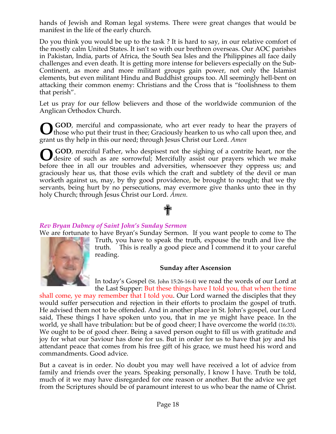hands of Jewish and Roman legal systems. There were great changes that would be manifest in the life of the early church.

Do you think you would be up to the task ? It is hard to say, in our relative comfort of the mostly calm United States. It isn't so with our brethren overseas. Our AOC parishes in Pakistan, India, parts of Africa, the South Sea Isles and the Philippines all face daily challenges and even death. It is getting more intense for believers especially on the Sub-Continent, as more and more militant groups gain power, not only the Islamist elements, but even militant Hindu and Buddhist groups too. All seemingly hell-bent on attacking their common enemy: Christians and the Cross that is "foolishness to them that perish".

Let us pray for our fellow believers and those of the worldwide communion of the Anglican Orthodox Church.

 **GOD**, merciful and compassionate, who art ever ready to hear the prayers of those who put their trust in thee; Graciously hearken to us who call upon thee, and grant us thy help in this our need; through Jesus Christ our Lord. *Amen*  **O**

 **GOD**, merciful Father, who despisest not the sighing of a contrite heart, nor the **O** GOD, merciful Father, who despisest not the sighing of a contrite heart, nor the desire of such as are sorrowful; Mercifully assist our prayers which we make before thee in all our troubles and adversities, whensoever they oppress us; and graciously hear us, that those evils which the craft and subtlety of the devil or man worketh against us, may, by thy good providence, be brought to nought; that we thy servants, being hurt by no persecutions, may evermore give thanks unto thee in thy holy Church; through Jesus Christ our Lord. *Amen.*

✟

## *Rev Bryan Dabney of Saint John's Sunday Sermon*

We are fortunate to have Bryan's Sunday Sermon. If you want people to come to The Truth, you have to speak the truth, expouse the truth and live the truth. This is really a good piece and I commend it to your careful reading.



In today's Gospel (St. John 15:26-16:4) we read the words of our Lord at the Last Supper: But these things have I told you, that when the time

shall come, ye may remember that I told you. Our Lord warned the disciples that they would suffer persecution and rejection in their efforts to proclaim the gospel of truth. He advised them not to be offended. And in another place in St. John's gospel, our Lord said, These things I have spoken unto you, that in me ye might have peace. In the world, ye shall have tribulation: but be of good cheer; I have overcome the world (16:33). We ought to be of good cheer. Being a saved person ought to fill us with gratitude and joy for what our Saviour has done for us. But in order for us to have that joy and his attendant peace that comes from his free gift of his grace, we must heed his word and commandments. Good advice.

But a caveat is in order. No doubt you may well have received a lot of advice from family and friends over the years. Speaking personally, I know I have. Truth be told, much of it we may have disregarded for one reason or another. But the advice we get from the Scriptures should be of paramount interest to us who bear the name of Christ.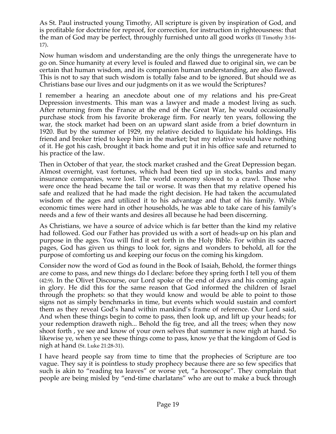As St. Paul instructed young Timothy, All scripture is given by inspiration of God, and is profitable for doctrine for reproof, for correction, for instruction in righteousness: that the man of God may be perfect, throughly furnished unto all good works (II Timothy 3:16- 17).

Now human wisdom and understanding are the only things the unregenerate have to go on. Since humanity at every level is fouled and flawed due to original sin, we can be certain that human wisdom, and its companion human understanding, are also flawed. This is not to say that such wisdom is totally false and to be ignored. But should we as Christians base our lives and our judgments on it as we would the Scriptures?

I remember a hearing an anecdote about one of my relations and his pre-Great Depression investments. This man was a lawyer and made a modest living as such. After returning from the France at the end of the Great War, he would occasionally purchase stock from his favorite brokerage firm. For nearly ten years, following the war, the stock market had been on an upward slant aside from a brief downturn in 1920. But by the summer of 1929, my relative decided to liquidate his holdings. His friend and broker tried to keep him in the market; but my relative would have nothing of it. He got his cash, brought it back home and put it in his office safe and returned to his practice of the law.

Then in October of that year, the stock market crashed and the Great Depression began. Almost overnight, vast fortunes, which had been tied up in stocks, banks and many insurance companies, were lost. The world economy slowed to a crawl. Those who were once the head became the tail or worse. It was then that my relative opened his safe and realized that he had made the right decision. He had taken the accumulated wisdom of the ages and utilized it to his advantage and that of his family. While economic times were hard in other households, he was able to take care of his family's needs and a few of their wants and desires all because he had been discerning.

As Christians, we have a source of advice which is far better than the kind my relative had followed. God our Father has provided us with a sort of heads-up on his plan and purpose in the ages. You will find it set forth in the Holy Bible. For within its sacred pages, God has given us things to look for, signs and wonders to behold, all for the purpose of comforting us and keeping our focus on the coming his kingdom.

Consider now the word of God as found in the Book of Isaiah, Behold, the former things are come to pass, and new things do I declare: before they spring forth I tell you of them (42:9). In the Olivet Discourse, our Lord spoke of the end of days and his coming again in glory. He did this for the same reason that God informed the children of Israel through the prophets: so that they would know and would be able to point to those signs not as simply benchmarks in time, but events which would sustain and comfort them as they reveal God's hand within mankind's frame of reference. Our Lord said, And when these things begin to come to pass, then look up, and lift up your heads; for your redemption draweth nigh... Behold the fig tree, and all the trees; when they now shoot forth , ye see and know of your own selves that summer is now nigh at hand. So likewise ye, when ye see these things come to pass, know ye that the kingdom of God is nigh at hand (St. Luke 21:28-31).

I have heard people say from time to time that the prophecies of Scripture are too vague. They say it is pointless to study prophecy because there are so few specifics that such is akin to "reading tea leaves" or worse yet, "a horoscope". They complain that people are being misled by "end-time charlatans" who are out to make a buck through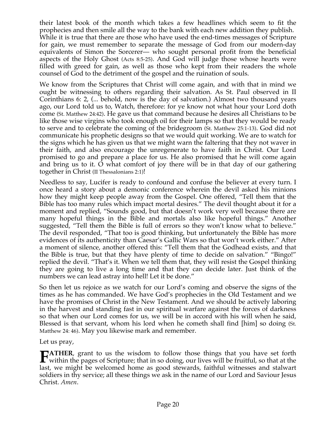their latest book of the month which takes a few headlines which seem to fit the prophecies and then smile all the way to the bank with each new addition they publish. While it is true that there are those who have used the end-times messages of Scripture for gain, we must remember to separate the message of God from our modern-day equivalents of Simon the Sorcerer— who sought personal profit from the beneficial aspects of the Holy Ghost (Acts 8:5-25). And God will judge those whose hearts were filled with greed for gain, as well as those who kept from their readers the whole counsel of God to the detriment of the gospel and the ruination of souls.

We know from the Scriptures that Christ will come again, and with that in mind we ought be witnessing to others regarding their salvation. As St. Paul observed in II Corinthians 6: 2, (... behold, now is the day of salvation.) Almost two thousand years ago, our Lord told us to, Watch, therefore: for ye know not what hour your Lord doth come (St. Matthew 24:42). He gave us that command because he desires all Christians to be like those wise virgins who took enough oil for their lamps so that they would be ready to serve and to celebrate the coming of the bridegroom (St. Matthew 25:1-13). God did not communicate his prophetic designs so that we would quit working. We are to watch for the signs which he has given us that we might warn the faltering that they not waver in their faith, and also encourage the unregenerate to have faith in Christ. Our Lord promised to go and prepare a place for us. He also promised that he will come again and bring us to it. O what comfort of joy there will be in that day of our gathering together in Christ (II Thessalonians 2:1)!

Needless to say, Lucifer is ready to confound and confuse the believer at every turn. I once heard a story about a demonic conference wherein the devil asked his minions how they might keep people away from the Gospel. One offered, "Tell them that the Bible has too many rules which impact mortal desires." The devil thought about it for a moment and replied, "Sounds good, but that doesn't work very well because there are many hopeful things in the Bible and mortals also like hopeful things." Another suggested, "Tell them the Bible is full of errors so they won't know what to believe." The devil responded, "That too is good thinking, but unfortunately the Bible has more evidences of its authenticity than Caesar's Gallic Wars so that won't work either." After a moment of silence, another offered this: "Tell them that the Godhead exists, and that the Bible is true, but that they have plenty of time to decide on salvation." "Bingo!" replied the devil. "That's it. When we tell them that, they will resist the Gospel thinking they are going to live a long time and that they can decide later. Just think of the numbers we can lead astray into hell! Let it be done."

So then let us rejoice as we watch for our Lord's coming and observe the signs of the times as he has commanded. We have God's prophecies in the Old Testament and we have the promises of Christ in the New Testament. And we should be actively laboring in the harvest and standing fast in our spiritual warfare against the forces of darkness so that when our Lord comes for us, we will be in accord with his will when he said, Blessed is that servant, whom his lord when he cometh shall find [him] so doing (St. Matthew 24: 46). May you likewise mark and remember.

Let us pray,

**TATHER**, grant to us the wisdom to follow those things that you have set forth **FATHER**, grant to us the wisdom to follow those things that you have set forth within the pages of Scripture; that in so doing, our lives will be fruitful, so that at the last, we might be welcomed home as good stewards, faithful witnesses and stalwart soldiers in thy service; all these things we ask in the name of our Lord and Saviour Jesus Christ. *Amen*.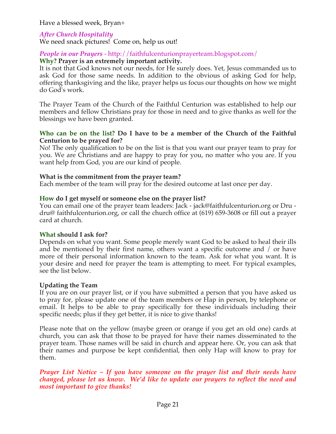Have a blessed week, Bryan+

## *After Church Hospitality*

We need snack pictures! Come on, help us out!

## *People in our Prayers* - http://faithfulcenturionprayerteam.blogspot.com/

## **Why? Prayer is an extremely important activity.**

It is not that God knows not our needs, for He surely does. Yet, Jesus commanded us to ask God for those same needs. In addition to the obvious of asking God for help, offering thanksgiving and the like, prayer helps us focus our thoughts on how we might do God's work.

The Prayer Team of the Church of the Faithful Centurion was established to help our members and fellow Christians pray for those in need and to give thanks as well for the blessings we have been granted.

#### **Who can be on the list? Do I have to be a member of the Church of the Faithful Centurion to be prayed for?**

No! The only qualification to be on the list is that you want our prayer team to pray for you. We are Christians and are happy to pray for you, no matter who you are. If you want help from God, you are our kind of people.

### **What is the commitment from the prayer team?**

Each member of the team will pray for the desired outcome at last once per day.

### **How do I get myself or someone else on the prayer list?**

You can email one of the prayer team leaders: Jack - jack@faithfulcenturion.org or Dru dru@ faithfulcenturion.org, or call the church office at (619) 659-3608 or fill out a prayer card at church.

### **What should I ask for?**

Depends on what you want. Some people merely want God to be asked to heal their ills and be mentioned by their first name, others want a specific outcome and / or have more of their personal information known to the team. Ask for what you want. It is your desire and need for prayer the team is attempting to meet. For typical examples, see the list below.

### **Updating the Team**

If you are on our prayer list, or if you have submitted a person that you have asked us to pray for, please update one of the team members or Hap in person, by telephone or email. It helps to be able to pray specifically for these individuals including their specific needs; plus if they get better, it is nice to give thanks!

Please note that on the yellow (maybe green or orange if you get an old one) cards at church, you can ask that those to be prayed for have their names disseminated to the prayer team. Those names will be said in church and appear here. Or, you can ask that their names and purpose be kept confidential, then only Hap will know to pray for them.

#### *Prayer List Notice – If you have someone on the prayer list and their needs have changed, please let us know. We'd like to update our prayers to reflect the need and most important to give thanks!*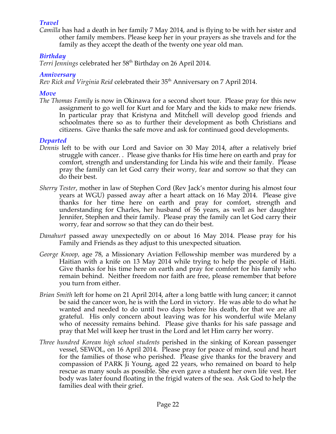## *Travel*

*Camilla* has had a death in her family 7 May 2014, and is flying to be with her sister and other family members. Please keep her in your prayers as she travels and for the family as they accept the death of the twenty one year old man.

## *Birthday*

*Terri Jennings* celebrated her 58<sup>th</sup> Birthday on 26 April 2014.

## *Anniversary*

*Rev Rick and Virginia Reid* celebrated their 35<sup>th</sup> Anniversary on 7 April 2014.

## *Move*

*The Thomas Family* is now in Okinawa for a second short tour. Please pray for this new assignment to go well for Kurt and for Mary and the kids to make new friends. In particular pray that Kristyna and Mitchell will develop good friends and schoolmates there so as to further their development as both Christians and citizens. Give thanks the safe move and ask for continued good developments.

## *Departed*

- *Dennis* left to be with our Lord and Savior on 30 May 2014, after a relatively brief struggle with cancer. . Please give thanks for His time here on earth and pray for comfort, strength and understanding for Linda his wife and their family. Please pray the family can let God carry their worry, fear and sorrow so that they can do their best.
- *Sherry Tester*, mother in law of Stephen Cord (Rev Jack's mentor during his almost four years at WGU) passed away after a heart attack on 16 May 2014. Please give thanks for her time here on earth and pray for comfort, strength and understanding for Charles, her husband of 56 years, as well as her daughter Jennifer, Stephen and their family. Please pray the family can let God carry their worry, fear and sorrow so that they can do their best.
- *Danahurt* passed away unexpectedly on or about 16 May 2014. Please pray for his Family and Friends as they adjust to this unexpected situation*.*
- *George Knoop,* age 78, a Missionary Aviation Fellowship member was murdered by a Haitian with a knife on 13 May 2014 while trying to help the people of Haiti. Give thanks for his time here on earth and pray for comfort for his family who remain behind. Neither freedom nor faith are free, please remember that before you turn from either.
- *Brian Smith* left for home on 21 April 2014, after a long battle with lung cancer; it cannot be said the cancer won, he is with the Lord in victory. He was able to do what he wanted and needed to do until two days before his death, for that we are all grateful. His only concern about leaving was for his wonderful wife Melany who of necessity remains behind. Please give thanks for his safe passage and pray that Mel will keep her trust in the Lord and let Him carry her worry.
- *Three hundred Korean high school students* perished in the sinking of Korean passenger vessel, SEWOL, on 16 April 2014. Please pray for peace of mind, soul and heart for the families of those who perished. Please give thanks for the bravery and compassion of PARK Ji Young, aged 22 years, who remained on board to help rescue as many souls as possible. She even gave a student her own life vest. Her body was later found floating in the frigid waters of the sea. Ask God to help the families deal with their grief.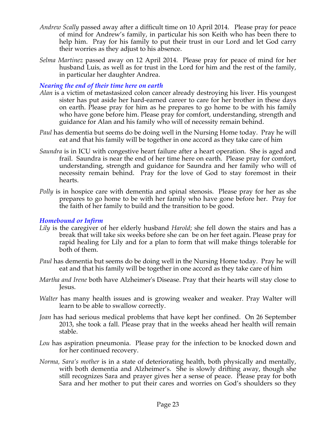- *Andrew Scally* passed away after a difficult time on 10 April 2014. Please pray for peace of mind for Andrew's family, in particular his son Keith who has been there to help him. Pray for his family to put their trust in our Lord and let God carry their worries as they adjust to his absence.
- *Selma Martinez* passed away on 12 April 2014. Please pray for peace of mind for her husband Luis, as well as for trust in the Lord for him and the rest of the family, in particular her daughter Andrea.

### *Nearing the end of their time here on earth*

- *Alan* is a victim of metastasized colon cancer already destroying his liver. His youngest sister has put aside her hard-earned career to care for her brother in these days on earth. Please pray for him as he prepares to go home to be with his family who have gone before him. Please pray for comfort, understanding, strength and guidance for Alan and his family who will of necessity remain behind.
- *Paul* has dementia but seems do be doing well in the Nursing Home today. Pray he will eat and that his family will be together in one accord as they take care of him
- *Saundra* is in ICU with congestive heart failure after a heart operation. She is aged and frail. Saundra is near the end of her time here on earth. Please pray for comfort, understanding, strength and guidance for Saundra and her family who will of necessity remain behind. Pray for the love of God to stay foremost in their hearts.
- *Polly* is in hospice care with dementia and spinal stenosis. Please pray for her as she prepares to go home to be with her family who have gone before her. Pray for the faith of her family to build and the transition to be good.

### *Homebound or Infirm*

- *Lily* is the caregiver of her elderly husband *Harold*; she fell down the stairs and has a break that will take six weeks before she can be on her feet again. Please pray for rapid healing for Lily and for a plan to form that will make things tolerable for both of them.
- *Paul* has dementia but seems do be doing well in the Nursing Home today. Pray he will eat and that his family will be together in one accord as they take care of him
- *Martha and Irene* both have Alzheimer's Disease. Pray that their hearts will stay close to Jesus.
- *Walter* has many health issues and is growing weaker and weaker. Pray Walter will learn to be able to swallow correctly.
- *Joan* has had serious medical problems that have kept her confined. On 26 September 2013, she took a fall. Please pray that in the weeks ahead her health will remain stable.
- *Lou* has aspiration pneumonia. Please pray for the infection to be knocked down and for her continued recovery.
- *Norma, Sara's mother* is in a state of deteriorating health, both physically and mentally, with both dementia and Alzheimer's. She is slowly drifting away, though she still recognizes Sara and prayer gives her a sense of peace. Please pray for both Sara and her mother to put their cares and worries on God's shoulders so they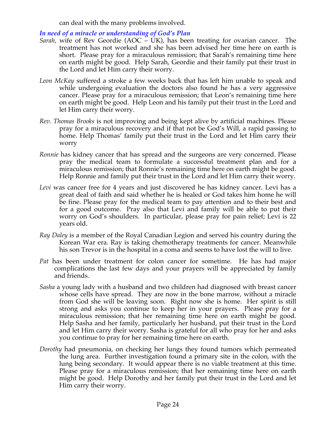can deal with the many problems involved.

*In need of a miracle or understanding of God's Plan*

- *Sarah,* wife of Rev Geordie (AOC UK), has been treating for ovarian cancer. The treatment has not worked and she has been advised her time here on earth is short. Please pray for a miraculous remission; that Sarah's remaining time here on earth might be good. Help Sarah, Geordie and their family put their trust in the Lord and let Him carry their worry.
- *Leon McKay* suffered a stroke a few weeks back that has left him unable to speak and while undergoing evaluation the doctors also found he has a very aggressive cancer. Please pray for a miraculous remission; that Leon's remaining time here on earth might be good. Help Leon and his family put their trust in the Lord and let Him carry their worry.
- *Rev. Thomas Brooks* is not improving and being kept alive by artificial machines. Please pray for a miraculous recovery and if that not be God's Will, a rapid passing to home. Help Thomas' family put their trust in the Lord and let Him carry their worry
- *Ronnie* has kidney cancer that has spread and the surgeons are very concerned. Please pray the medical team to formulate a successful treatment plan and for a miraculous remission; that Ronnie's remaining time here on earth might be good. Help Ronnie and family put their trust in the Lord and let Him carry their worry.
- *Levi* was cancer free for 4 years and just discovered he has kidney cancer. Levi has a great deal of faith and said whether he is healed or God takes him home he will be fine. Please pray for the medical team to pay attention and to their best and for a good outcome. Pray also that Levi and family will be able to put their worry on God's shoulders. In particular, please pray for pain relief; Levi is 22 years old.
- *Ray Daley* is a member of the Royal Canadian Legion and served his country during the Korean War era. Ray is taking chemotherapy treatments for cancer. Meanwhile his son Trevor is in the hospital in a coma and seems to have lost the will to live.
- *Pat* has been under treatment for colon cancer for sometime. He has had major complications the last few days and your prayers will be appreciated by family and friends.
- *Sasha* a young lady with a husband and two children had diagnosed with breast cancer whose cells have spread. They are now in the bone marrow, without a miracle from God she will be leaving soon. Right now she is home. Her spirit is still strong and asks you continue to keep her in your prayers. Please pray for a miraculous remission; that her remaining time here on earth might be good. Help Sasha and her family, particularly her husband, put their trust in the Lord and let Him carry their worry. Sasha is grateful for all who pray for her and asks you continue to pray for her remaining time here on earth.
- *Dorothy* had pneumonia, on checking her lungs they found tumors which permeated the lung area. Further investigation found a primary site in the colon, with the lung being secondary. It would appear there is no viable treatment at this time. Please pray for a miraculous remission; that her remaining time here on earth might be good. Help Dorothy and her family put their trust in the Lord and let Him carry their worry.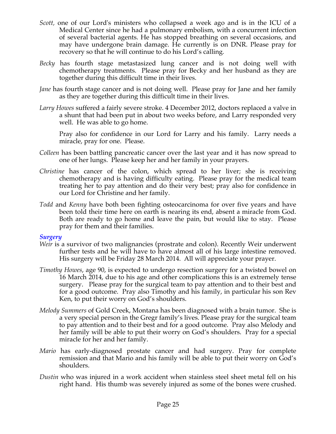- *Scott,* one of our Lord's ministers who collapsed a week ago and is in the ICU of a Medical Center since he had a pulmonary embolism, with a concurrent infection of several bacterial agents. He has stopped breathing on several occasions, and may have undergone brain damage. He currently is on DNR. Please pray for recovery so that he will continue to do his Lord's calling*.*
- *Becky* has fourth stage metastasized lung cancer and is not doing well with chemotherapy treatments. Please pray for Becky and her husband as they are together during this difficult time in their lives.
- *Jane* has fourth stage cancer and is not doing well. Please pray for Jane and her family as they are together during this difficult time in their lives.
- *Larry Howes* suffered a fairly severe stroke. 4 December 2012, doctors replaced a valve in a shunt that had been put in about two weeks before, and Larry responded very well. He was able to go home.

Pray also for confidence in our Lord for Larry and his family. Larry needs a miracle, pray for one. Please.

- *Colleen* has been battling pancreatic cancer over the last year and it has now spread to one of her lungs. Please keep her and her family in your prayers.
- *Christine* has cancer of the colon, which spread to her liver; she is receiving chemotherapy and is having difficulty eating. Please pray for the medical team treating her to pay attention and do their very best; pray also for confidence in our Lord for Christine and her family.
- *Todd* and *Kenny* have both been fighting osteocarcinoma for over five years and have been told their time here on earth is nearing its end, absent a miracle from God. Both are ready to go home and leave the pain, but would like to stay. Please pray for them and their families.

### *Surgery*

- *Weir* is a survivor of two malignancies (prostrate and colon). Recently Weir underwent further tests and he will have to have almost all of his large intestine removed. His surgery will be Friday 28 March 2014. All will appreciate your prayer.
- *Timothy Howes*, age 90, is expected to undergo resection surgery for a twisted bowel on 16 March 2014, due to his age and other complications this is an extremely tense surgery. Please pray for the surgical team to pay attention and to their best and for a good outcome. Pray also Timothy and his family, in particular his son Rev Ken, to put their worry on God's shoulders.
- *Melody Summers* of Gold Creek, Montana has been diagnosed with a brain tumor. She is a very special person in the Gregr family's lives. Please pray for the surgical team to pay attention and to their best and for a good outcome. Pray also Melody and her family will be able to put their worry on God's shoulders. Pray for a special miracle for her and her family.
- *Mario* has early-diagnosed prostate cancer and had surgery. Pray for complete remission and that Mario and his family will be able to put their worry on God's shoulders.
- *Dustin* who was injured in a work accident when stainless steel sheet metal fell on his right hand. His thumb was severely injured as some of the bones were crushed.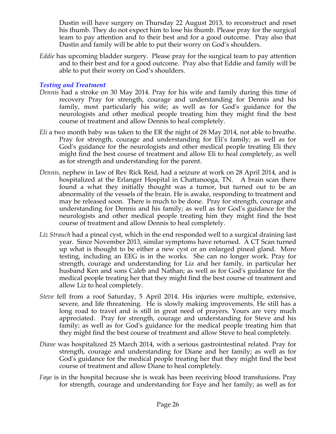Dustin will have surgery on Thursday 22 August 2013, to reconstruct and reset his thumb. They do not expect him to lose his thumb. Please pray for the surgical team to pay attention and to their best and for a good outcome. Pray also that Dustin and family will be able to put their worry on God's shoulders.

*Eddie* has upcoming bladder surgery. Please pray for the surgical team to pay attention and to their best and for a good outcome. Pray also that Eddie and family will be able to put their worry on God's shoulders.

## *Testing and Treatment*

- *Dennis* had a stroke on 30 May 2014. Pray for his wife and family during this time of recovery Pray for strength, courage and understanding for Dennis and his family, most particularly his wife; as well as for God's guidance for the neurologists and other medical people treating him they might find the best course of treatment and allow Dennis to heal completely.
- *Eli* a two month baby was taken to the ER the night of 28 May 2014, not able to breathe. Pray for strength, courage and understanding for Eli's family; as well as for God's guidance for the neurologists and other medical people treating Eli they might find the best course of treatment and allow Eli to heal completely, as well as for strength and understanding for the parent.
- *Dennis*, nephew in law of Rev Rick Reid, had a seizure at work on 28 April 2014, and is hospitalized at the Erlanger Hospital in Chattanooga, TN. A brain scan there found a what they initially thought was a tumor, but turned out to be an abnormality of the vessels of the brain. He is awake, responding to treatment and may be released soon. There is much to be done. Pray for strength, courage and understanding for Dennis and his family; as well as for God's guidance for the neurologists and other medical people treating him they might find the best course of treatment and allow Dennis to heal completely.
- *Liz Strauch* had a pineal cyst, which in the end responded well to a surgical draining last year. Since November 2013, similar symptoms have returned. A CT Scan turned up what is thought to be either a new cyst or an enlarged pineal gland. More testing, including an EEG is in the works. She can no longer work. Pray for strength, courage and understanding for Liz and her family, in particular her husband Ken and sons Caleb and Nathan; as well as for God's guidance for the medical people treating her that they might find the best course of treatment and allow Liz to heal completely.
- *Steve* fell from a roof Saturday, 5 April 2014. His injuries were multiple, extensive, severe, and life threatening. He is slowly making improvements. He still has a long road to travel and is still in great need of prayers. Yours are very much appreciated. Pray for strength, courage and understanding for Steve and his family; as well as for God's guidance for the medical people treating him that they might find the best course of treatment and allow Steve to heal completely.
- *Diane* was hospitalized 25 March 2014, with a serious gastrointestinal related. Pray for strength, courage and understanding for Diane and her family; as well as for God's guidance for the medical people treating her that they might find the best course of treatment and allow Diane to heal completely.
- *Faye* is in the hospital because she is weak has been receiving blood transfusions. Pray for strength, courage and understanding for Faye and her family; as well as for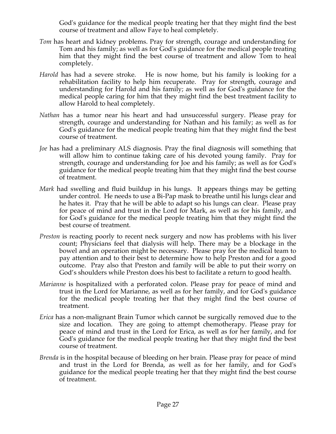God's guidance for the medical people treating her that they might find the best course of treatment and allow Faye to heal completely.

- *Tom* has heart and kidney problems. Pray for strength, courage and understanding for Tom and his family; as well as for God's guidance for the medical people treating him that they might find the best course of treatment and allow Tom to heal completely.
- *Harold* has had a severe stroke. He is now home, but his family is looking for a rehabilitation facility to help him recuperate. Pray for strength, courage and understanding for Harold and his family; as well as for God's guidance for the medical people caring for him that they might find the best treatment facility to allow Harold to heal completely.
- *Nathan* has a tumor near his heart and had unsuccessful surgery. Please pray for strength, courage and understanding for Nathan and his family; as well as for God's guidance for the medical people treating him that they might find the best course of treatment.
- *Joe* has had a preliminary ALS diagnosis. Pray the final diagnosis will something that will allow him to continue taking care of his devoted young family. Pray for strength, courage and understanding for Joe and his family; as well as for God's guidance for the medical people treating him that they might find the best course of treatment.
- *Mark* had swelling and fluid buildup in his lungs. It appears things may be getting under control. He needs to use a Bi-Pap mask to breathe until his lungs clear and he hates it. Pray that he will be able to adapt so his lungs can clear. Please pray for peace of mind and trust in the Lord for Mark, as well as for his family, and for God's guidance for the medical people treating him that they might find the best course of treatment.
- *Preston* is reacting poorly to recent neck surgery and now has problems with his liver count; Physicians feel that dialysis will help. There may be a blockage in the bowel and an operation might be necessary. Please pray for the medical team to pay attention and to their best to determine how to help Preston and for a good outcome. Pray also that Preston and family will be able to put their worry on God's shoulders while Preston does his best to facilitate a return to good health.
- *Marianne* is hospitalized with a perforated colon. Please pray for peace of mind and trust in the Lord for Marianne, as well as for her family, and for God's guidance for the medical people treating her that they might find the best course of treatment.
- *Erica* has a non-malignant Brain Tumor which cannot be surgically removed due to the size and location. They are going to attempt chemotherapy. Please pray for peace of mind and trust in the Lord for Erica, as well as for her family, and for God's guidance for the medical people treating her that they might find the best course of treatment.
- *Brenda* is in the hospital because of bleeding on her brain. Please pray for peace of mind and trust in the Lord for Brenda, as well as for her family, and for God's guidance for the medical people treating her that they might find the best course of treatment.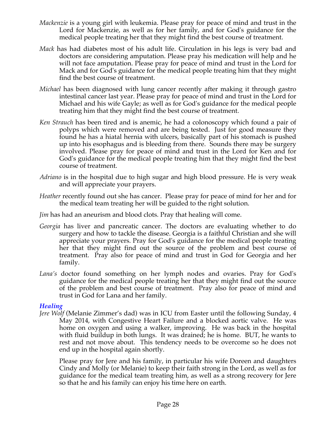- *Mackenzie* is a young girl with leukemia. Please pray for peace of mind and trust in the Lord for Mackenzie, as well as for her family, and for God's guidance for the medical people treating her that they might find the best course of treatment.
- *Mack* has had diabetes most of his adult life. Circulation in his legs is very bad and doctors are considering amputation. Please pray his medication will help and he will not face amputation. Please pray for peace of mind and trust in the Lord for Mack and for God's guidance for the medical people treating him that they might find the best course of treatment.
- *Michael* has been diagnosed with lung cancer recently after making it through gastro intestinal cancer last year. Please pray for peace of mind and trust in the Lord for Michael and his wife Gayle; as well as for God's guidance for the medical people treating him that they might find the best course of treatment.
- *Ken Strauch* has been tired and is anemic, he had a colonoscopy which found a pair of polyps which were removed and are being tested. Just for good measure they found he has a hiatal hernia with ulcers, basically part of his stomach is pushed up into his esophagus and is bleeding from there. Sounds there may be surgery involved. Please pray for peace of mind and trust in the Lord for Ken and for God's guidance for the medical people treating him that they might find the best course of treatment.
- *Adriano* is in the hospital due to high sugar and high blood pressure. He is very weak and will appreciate your prayers.
- *Heather* recently found out she has cancer. Please pray for peace of mind for her and for the medical team treating her will be guided to the right solution.
- *Jim* has had an aneurism and blood clots. Pray that healing will come.
- *Georgia* has liver and pancreatic cancer. The doctors are evaluating whether to do surgery and how to tackle the disease. Georgia is a faithful Christian and she will appreciate your prayers. Pray for God's guidance for the medical people treating her that they might find out the source of the problem and best course of treatment. Pray also for peace of mind and trust in God for Georgia and her family.
- *Lana's* doctor found something on her lymph nodes and ovaries. Pray for God's guidance for the medical people treating her that they might find out the source of the problem and best course of treatment. Pray also for peace of mind and trust in God for Lana and her family.

### *Healing*

*Jere Wolf* (Melanie Zimmer's dad) was in ICU from Easter until the following Sunday, 4 May 2014, with Congestive Heart Failure and a blocked aortic valve. He was home on oxygen and using a walker, improving. He was back in the hospital with fluid buildup in both lungs. It was drained; he is home. BUT, he wants to rest and not move about. This tendency needs to be overcome so he does not end up in the hospital again shortly.

Please pray for Jere and his family, in particular his wife Doreen and daughters Cindy and Molly (or Melanie) to keep their faith strong in the Lord, as well as for guidance for the medical team treating him, as well as a strong recovery for Jere so that he and his family can enjoy his time here on earth.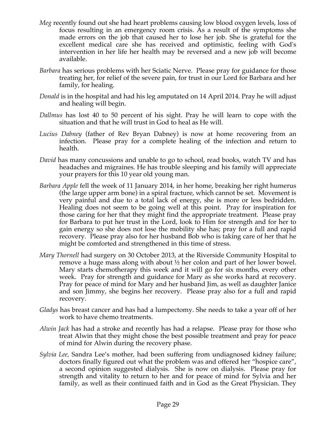- *Meg* recently found out she had heart problems causing low blood oxygen levels, loss of focus resulting in an emergency room crisis. As a result of the symptoms she made errors on the job that caused her to lose her job. She is grateful for the excellent medical care she has received and optimistic, feeling with God's intervention in her life her health may be reversed and a new job will become available.
- *Barbara* has serious problems with her Sciatic Nerve. Please pray for guidance for those treating her, for relief of the severe pain, for trust in our Lord for Barbara and her family, for healing.
- *Donald* is in the hospital and had his leg amputated on 14 April 2014. Pray he will adjust and healing will begin.
- *Dallmus* has lost 40 to 50 percent of his sight. Pray he will learn to cope with the situation and that he will trust in God to heal as He will.
- *Lucius Dabney* (father of Rev Bryan Dabney) is now at home recovering from an infection. Please pray for a complete healing of the infection and return to health.
- *David* has many concussions and unable to go to school, read books, watch TV and has headaches and migraines. He has trouble sleeping and his family will appreciate your prayers for this 10 year old young man.
- *Barbara Apple* fell the week of 11 January 2014, in her home, breaking her right humerus (the large upper arm bone) in a spiral fracture, which cannot be set. Movement is very painful and due to a total lack of energy, she is more or less bedridden. Healing does not seem to be going well at this point. Pray for inspiration for those caring for her that they might find the appropriate treatment. Please pray for Barbara to put her trust in the Lord, look to Him for strength and for her to gain energy so she does not lose the mobility she has; pray for a full and rapid recovery. Please pray also for her husband Bob who is taking care of her that he might be comforted and strengthened in this time of stress.
- *Mary Thornell* had surgery on 30 October 2013, at the Riverside Community Hospital to remove a huge mass along with about ½ her colon and part of her lower bowel. Mary starts chemotherapy this week and it will go for six months, every other week. Pray for strength and guidance for Mary as she works hard at recovery. Pray for peace of mind for Mary and her husband Jim, as well as daughter Janice and son Jimmy, she begins her recovery. Please pray also for a full and rapid recovery.
- *Gladys* has breast cancer and has had a lumpectomy. She needs to take a year off of her work to have chemo treatments.
- *Alwin Jack* has had a stroke and recently has had a relapse. Please pray for those who treat Alwin that they might chose the best possible treatment and pray for peace of mind for Alwin during the recovery phase.
- *Sylvia Lee,* Sandra Lee's mother, had been suffering from undiagnosed kidney failure; doctors finally figured out what the problem was and offered her "hospice care", a second opinion suggested dialysis. She is now on dialysis. Please pray for strength and vitality to return to her and for peace of mind for Sylvia and her family, as well as their continued faith and in God as the Great Physician. They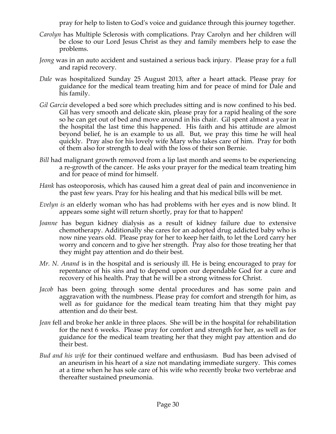pray for help to listen to God's voice and guidance through this journey together.

- *Carolyn* has Multiple Sclerosis with complications. Pray Carolyn and her children will be close to our Lord Jesus Christ as they and family members help to ease the problems.
- *Jeong* was in an auto accident and sustained a serious back injury. Please pray for a full and rapid recovery.
- *Dale* was hospitalized Sunday 25 August 2013, after a heart attack. Please pray for guidance for the medical team treating him and for peace of mind for Dale and his family.
- *Gil Garcia* developed a bed sore which precludes sitting and is now confined to his bed. Gil has very smooth and delicate skin, please pray for a rapid healing of the sore so he can get out of bed and move around in his chair. Gil spent almost a year in the hospital the last time this happened. His faith and his attitude are almost beyond belief, he is an example to us all. But, we pray this time he will heal quickly. Pray also for his lovely wife Mary who takes care of him. Pray for both of them also for strength to deal with the loss of their son Bernie.
- *Bill* had malignant growth removed from a lip last month and seems to be experiencing a re-growth of the cancer. He asks your prayer for the medical team treating him and for peace of mind for himself.
- *Hank* has osteoporosis, which has caused him a great deal of pain and inconvenience in the past few years. Pray for his healing and that his medical bills will be met.
- *Evelyn is* an elderly woman who has had problems with her eyes and is now blind. It appears some sight will return shortly, pray for that to happen!
- *Joanne* has begun kidney dialysis as a result of kidney failure due to extensive chemotherapy. Additionally she cares for an adopted drug addicted baby who is now nine years old. Please pray for her to keep her faith, to let the Lord carry her worry and concern and to give her strength. Pray also for those treating her that they might pay attention and do their best.
- *Mr. N. Anand* is in the hospital and is seriously ill. He is being encouraged to pray for repentance of his sins and to depend upon our dependable God for a cure and recovery of his health. Pray that he will be a strong witness for Christ.
- *Jacob* has been going through some dental procedures and has some pain and aggravation with the numbness. Please pray for comfort and strength for him, as well as for guidance for the medical team treating him that they might pay attention and do their best.
- *Jean* fell and broke her ankle in three places. She will be in the hospital for rehabilitation for the next 6 weeks. Please pray for comfort and strength for her, as well as for guidance for the medical team treating her that they might pay attention and do their best.
- *Bud and his wife* for their continued welfare and enthusiasm. Bud has been advised of an aneurism in his heart of a size not mandating immediate surgery. This comes at a time when he has sole care of his wife who recently broke two vertebrae and thereafter sustained pneumonia.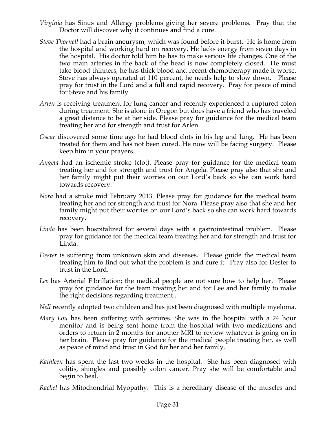- *Virginia* has Sinus and Allergy problems giving her severe problems. Pray that the Doctor will discover why it continues and find a cure.
- *Steve Thornell* had a brain aneurysm, which was found before it burst. He is home from the hospital and working hard on recovery. He lacks energy from seven days in the hospital. His doctor told him he has to make serious life changes. One of the two main arteries in the back of the head is now completely closed. He must take blood thinners, he has thick blood and recent chemotherapy made it worse. Steve has always operated at 110 percent, he needs help to slow down. Please pray for trust in the Lord and a full and rapid recovery. Pray for peace of mind for Steve and his family.
- *Arlen* is receiving treatment for lung cancer and recently experienced a ruptured colon during treatment. She is alone in Oregon but does have a friend who has traveled a great distance to be at her side. Please pray for guidance for the medical team treating her and for strength and trust for Arlen.
- *Oscar* discovered some time ago he had blood clots in his leg and lung. He has been treated for them and has not been cured. He now will be facing surgery. Please keep him in your prayers.
- *Angela* had an ischemic stroke (clot). Please pray for guidance for the medical team treating her and for strength and trust for Angela. Please pray also that she and her family might put their worries on our Lord's back so she can work hard towards recovery.
- *Nora* had a stroke mid February 2013. Please pray for guidance for the medical team treating her and for strength and trust for Nora. Please pray also that she and her family might put their worries on our Lord's back so she can work hard towards recovery.
- *Linda* has been hospitalized for several days with a gastrointestinal problem. Please pray for guidance for the medical team treating her and for strength and trust for Linda.
- *Dester* is suffering from unknown skin and diseases. Please guide the medical team treating him to find out what the problem is and cure it. Pray also for Dester to trust in the Lord.
- *Lee* has Arterial Fibrillation; the medical people are not sure how to help her. Please pray for guidance for the team treating her and for Lee and her family to make the right decisions regarding treatment..

*Nell* recently adopted two children and has just been diagnosed with multiple myeloma.

- *Mary Lou* has been suffering with seizures. She was in the hospital with a 24 hour monitor and is being sent home from the hospital with two medications and orders to return in 2 months for another MRI to review whatever is going on in her brain. Please pray for guidance for the medical people treating her, as well as peace of mind and trust in God for her and her family.
- *Kathleen* has spent the last two weeks in the hospital. She has been diagnosed with colitis, shingles and possibly colon cancer. Pray she will be comfortable and begin to heal.

*Rachel* has Mitochondrial Myopathy. This is a hereditary disease of the muscles and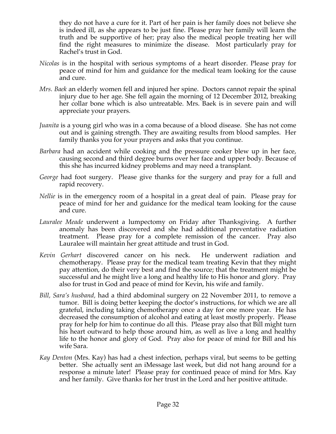they do not have a cure for it. Part of her pain is her family does not believe she is indeed ill, as she appears to be just fine. Please pray her family will learn the truth and be supportive of her; pray also the medical people treating her will find the right measures to minimize the disease. Most particularly pray for Rachel's trust in God.

- *Nicolas* is in the hospital with serious symptoms of a heart disorder. Please pray for peace of mind for him and guidance for the medical team looking for the cause and cure.
- *Mrs. Baek* an elderly women fell and injured her spine. Doctors cannot repair the spinal injury due to her age. She fell again the morning of 12 December 2012, breaking her collar bone which is also untreatable. Mrs. Baek is in severe pain and will appreciate your prayers.
- *Juanita* is a young girl who was in a coma because of a blood disease. She has not come out and is gaining strength. They are awaiting results from blood samples. Her family thanks you for your prayers and asks that you continue.
- *Barbara* had an accident while cooking and the pressure cooker blew up in her face, causing second and third degree burns over her face and upper body. Because of this she has incurred kidney problems and may need a transplant.
- *George* had foot surgery. Please give thanks for the surgery and pray for a full and rapid recovery.
- *Nellie* is in the emergency room of a hospital in a great deal of pain. Please pray for peace of mind for her and guidance for the medical team looking for the cause and cure.
- *Lauralee Meade* underwent a lumpectomy on Friday after Thanksgiving. A further anomaly has been discovered and she had additional preventative radiation treatment. Please pray for a complete remission of the cancer. Pray also Lauralee will maintain her great attitude and trust in God.
- *Kevin Gerhart* discovered cancer on his neck. He underwent radiation and chemotherapy. Please pray for the medical team treating Kevin that they might pay attention, do their very best and find the source; that the treatment might be successful and he might live a long and healthy life to His honor and glory. Pray also for trust in God and peace of mind for Kevin, his wife and family.
- *Bill, Sara's husband,* had a third abdominal surgery on 22 November 2011, to remove a tumor. Bill is doing better keeping the doctor's instructions, for which we are all grateful, including taking chemotherapy once a day for one more year. He has decreased the consumption of alcohol and eating at least mostly properly. Please pray for help for him to continue do all this. Please pray also that Bill might turn his heart outward to help those around him, as well as live a long and healthy life to the honor and glory of God. Pray also for peace of mind for Bill and his wife Sara.
- *Kay Denton* (Mrs. Kay) has had a chest infection, perhaps viral, but seems to be getting better. She actually sent an iMessage last week, but did not hang around for a response a minute later! Please pray for continued peace of mind for Mrs. Kay and her family. Give thanks for her trust in the Lord and her positive attitude.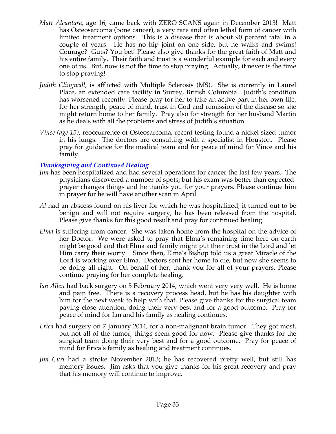- *Matt Alcantara*, age 16, came back with ZERO SCANS again in December 2013! Matt has Osteosarcoma (bone cancer), a very rare and often lethal form of cancer with limited treatment options. This is a disease that is about 90 percent fatal in a couple of years. He has no hip joint on one side, but he walks and swims! Courage? Guts? You bet! Please also give thanks for the great faith of Matt and his entire family. Their faith and trust is a wonderful example for each and every one of us. But, now is not the time to stop praying. Actually, it never is the time to stop praying!
- *Judith Clingwall*, is afflicted with Multiple Sclerosis (MS). She is currently in Laurel Place, an extended care facility in Surrey, British Columbia. Judith's condition has worsened recently. Please pray for her to take an active part in her own life, for her strength, peace of mind, trust in God and remission of the disease so she might return home to her family. Pray also for strength for her husband Martin as he deals with all the problems and stress of Judith's situation.
- *Vince (age 15),* reoccurrence of Osteosarcoma, recent testing found a nickel sized tumor in his lungs. The doctors are consulting with a specialist in Houston. Please pray for guidance for the medical team and for peace of mind for Vince and his family.

## *Thanksgiving and Continued Healing*

- *Jim* has been hospitalized and had several operations for cancer the last few years. The physicians discovered a number of spots; but his exam was better than expectedprayer changes things and he thanks you for your prayers. Please continue him in prayer for he will have another scan in April.
- *Al* had an abscess found on his liver for which he was hospitalized, it turned out to be benign and will not require surgery, he has been released from the hospital. Please give thanks for this good result and pray for continued healing.
- *Elma* is suffering from cancer. She was taken home from the hospital on the advice of her Doctor. We were asked to pray that Elma's remaining time here on earth might be good and that Elma and family might put their trust in the Lord and let Him carry their worry. Since then, Elma's Bishop told us a great Miracle of the Lord is working over Elma. Doctors sent her home to die, but now she seems to be doing all right. On behalf of her, thank you for all of your prayers. Please continue praying for her complete healing.
- *Ian Allen* had back surgery on 5 February 2014, which went very very well. He is home and pain free. There is a recovery process head, but he has his daughter with him for the next week to help with that. Please give thanks for the surgical team paying close attention, doing their very best and for a good outcome. Pray for peace of mind for Ian and his family as healing continues.
- *Erica* had surgery on 7 January 2014, for a non-malignant brain tumor. They got most, but not all of the tumor, things seem good for now. Please give thanks for the surgical team doing their very best and for a good outcome. Pray for peace of mind for Erica's family as healing and treatment continues.
- *Jim Curl* had a stroke November 2013; he has recovered pretty well, but still has memory issues. Jim asks that you give thanks for his great recovery and pray that his memory will continue to improve.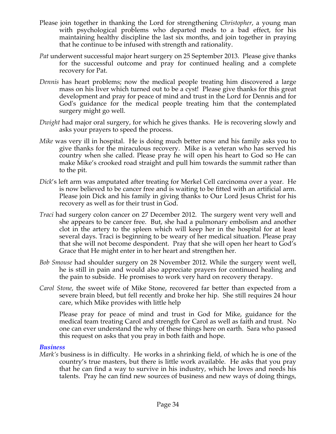- Please join together in thanking the Lord for strengthening *Christopher*, a young man with psychological problems who departed meds to a bad effect, for his maintaining healthy discipline the last six months, and join together in praying that he continue to be infused with strength and rationality.
- *Pat* underwent successful major heart surgery on 25 September 2013. Please give thanks for the successful outcome and pray for continued healing and a complete recovery for Pat.
- *Dennis* has heart problems; now the medical people treating him discovered a large mass on his liver which turned out to be a cyst! Please give thanks for this great development and pray for peace of mind and trust in the Lord for Dennis and for God's guidance for the medical people treating him that the contemplated surgery might go well.
- *Dwight* had major oral surgery, for which he gives thanks. He is recovering slowly and asks your prayers to speed the process.
- *Mike* was very ill in hospital. He is doing much better now and his family asks you to give thanks for the miraculous recovery. Mike is a veteran who has served his country when she called. Please pray he will open his heart to God so He can make Mike's crooked road straight and pull him towards the summit rather than to the pit.
- *Dick*'s left arm was amputated after treating for Merkel Cell carcinoma over a year. He is now believed to be cancer free and is waiting to be fitted with an artificial arm. Please join Dick and his family in giving thanks to Our Lord Jesus Christ for his recovery as well as for their trust in God.
- *Traci* had surgery colon cancer on 27 December 2012. The surgery went very well and she appears to be cancer free. But, she had a pulmonary embolism and another clot in the artery to the spleen which will keep her in the hospital for at least several days. Traci is beginning to be weary of her medical situation. Please pray that she will not become despondent. Pray that she will open her heart to God's Grace that He might enter in to her heart and strengthen her.
- *Bob Smouse* had shoulder surgery on 28 November 2012. While the surgery went well, he is still in pain and would also appreciate prayers for continued healing and the pain to subside. He promises to work very hard on recovery therapy.
- *Carol Stone*, the sweet wife of Mike Stone, recovered far better than expected from a severe brain bleed, but fell recently and broke her hip. She still requires 24 hour care, which Mike provides with little help

Please pray for peace of mind and trust in God for Mike, guidance for the medical team treating Carol and strength for Carol as well as faith and trust. No one can ever understand the why of these things here on earth. Sara who passed this request on asks that you pray in both faith and hope.

### *Business*

*Mark's* business is in difficulty. He works in a shrinking field, of which he is one of the country's true masters, but there is little work available. He asks that you pray that he can find a way to survive in his industry, which he loves and needs his talents. Pray he can find new sources of business and new ways of doing things,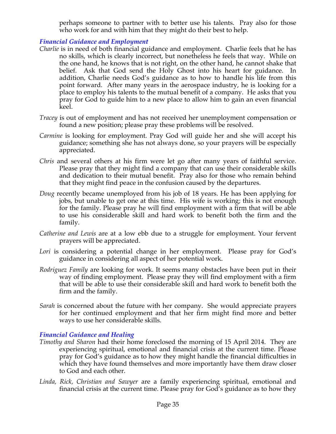perhaps someone to partner with to better use his talents. Pray also for those who work for and with him that they might do their best to help.

## *Financial Guidance and Employment*

- *Charlie* is in need of both financial guidance and employment. Charlie feels that he has no skills, which is clearly incorrect, but nonetheless he feels that way. While on the one hand, he knows that is not right, on the other hand, he cannot shake that belief. Ask that God send the Holy Ghost into his heart for guidance. In addition, Charlie needs God's guidance as to how to handle his life from this point forward. After many years in the aerospace industry, he is looking for a place to employ his talents to the mutual benefit of a company. He asks that you pray for God to guide him to a new place to allow him to gain an even financial keel.
- *Tracey* is out of employment and has not received her unemployment compensation or found a new position; please pray these problems will be resolved.
- *Carmine* is looking for employment. Pray God will guide her and she will accept his guidance; something she has not always done, so your prayers will be especially appreciated.
- *Chris* and several others at his firm were let go after many years of faithful service. Please pray that they might find a company that can use their considerable skills and dedication to their mutual benefit. Pray also for those who remain behind that they might find peace in the confusion caused by the departures.
- *Doug* recently became unemployed from his job of 18 years. He has been applying for jobs, but unable to get one at this time. His wife is working; this is not enough for the family. Please pray he will find employment with a firm that will be able to use his considerable skill and hard work to benefit both the firm and the family.
- *Catherine and Lewis* are at a low ebb due to a struggle for employment. Your fervent prayers will be appreciated.
- Lori is considering a potential change in her employment. Please pray for God's guidance in considering all aspect of her potential work.
- *Rodriguez Family* are looking for work. It seems many obstacles have been put in their way of finding employment. Please pray they will find employment with a firm that will be able to use their considerable skill and hard work to benefit both the firm and the family.
- *Sarah* is concerned about the future with her company. She would appreciate prayers for her continued employment and that her firm might find more and better ways to use her considerable skills.

## *Financial Guidance and Healing*

- *Timothy and Sharon* had their home foreclosed the morning of 15 April 2014. They are experiencing spiritual, emotional and financial crisis at the current time. Please pray for God's guidance as to how they might handle the financial difficulties in which they have found themselves and more importantly have them draw closer to God and each other.
- *Linda, Rick, Christian and Sawyer* are a family experiencing spiritual, emotional and financial crisis at the current time. Please pray for God's guidance as to how they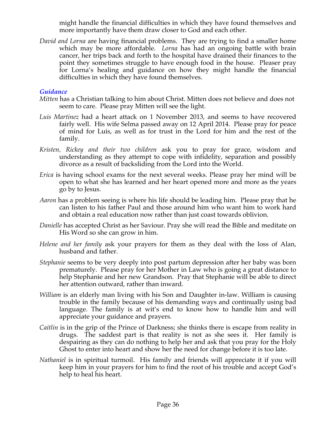might handle the financial difficulties in which they have found themselves and more importantly have them draw closer to God and each other.

*David and Lorna* are having financial problems. They are trying to find a smaller home which may be more affordable. *Lorna* has had an ongoing battle with brain cancer, her trips back and forth to the hospital have drained their finances to the point they sometimes struggle to have enough food in the house. Pleaser pray for Lorna's healing and guidance on how they might handle the financial difficulties in which they have found themselves.

### *Guidance*

- *Mitten* has a Christian talking to him about Christ. Mitten does not believe and does not seem to care. Please pray Mitten will see the light.
- *Luis Martinez* had a heart attack on 1 November 2013, and seems to have recovered fairly well. His wife Selma passed away on 12 April 2014. Please pray for peace of mind for Luis, as well as for trust in the Lord for him and the rest of the family.
- *Kristen, Rickey and their two children* ask you to pray for grace, wisdom and understanding as they attempt to cope with infidelity, separation and possibly divorce as a result of backsliding from the Lord into the World.
- *Erica* is having school exams for the next several weeks. Please pray her mind will be open to what she has learned and her heart opened more and more as the years go by to Jesus.
- *Aaron* has a problem seeing is where his life should be leading him. Please pray that he can listen to his father Paul and those around him who want him to work hard and obtain a real education now rather than just coast towards oblivion.
- *Danielle* has accepted Christ as her Saviour. Pray she will read the Bible and meditate on His Word so she can grow in him.
- *Helene and her family* ask your prayers for them as they deal with the loss of Alan, husband and father.
- *Stephanie* seems to be very deeply into post partum depression after her baby was born prematurely. Please pray for her Mother in Law who is going a great distance to help Stephanie and her new Grandson. Pray that Stephanie will be able to direct her attention outward, rather than inward.
- *William* is an elderly man living with his Son and Daughter in-law. William is causing trouble in the family because of his demanding ways and continually using bad language. The family is at wit's end to know how to handle him and will appreciate your guidance and prayers.
- *Caitlin* is in the grip of the Prince of Darkness; she thinks there is escape from reality in drugs. The saddest part is that reality is not as she sees it. Her family is despairing as they can do nothing to help her and ask that you pray for the Holy Ghost to enter into heart and show her the need for change before it is too late.
- *Nathaniel* is in spiritual turmoil. His family and friends will appreciate it if you will keep him in your prayers for him to find the root of his trouble and accept God's help to heal his heart.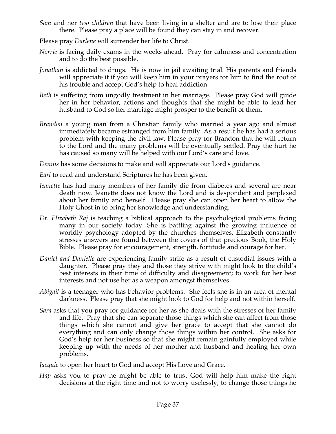- *Sam* and her *two children* that have been living in a shelter and are to lose their place there. Please pray a place will be found they can stay in and recover.
- Please pray *Darlene* will surrender her life to Christ.
- *Norrie* is facing daily exams in the weeks ahead. Pray for calmness and concentration and to do the best possible.
- *Jonathan* is addicted to drugs. He is now in jail awaiting trial. His parents and friends will appreciate it if you will keep him in your prayers for him to find the root of his trouble and accept God's help to heal addiction.
- *Beth* is suffering from ungodly treatment in her marriage. Please pray God will guide her in her behavior, actions and thoughts that she might be able to lead her husband to God so her marriage might prosper to the benefit of them.
- *Brandon* a young man from a Christian family who married a year ago and almost immediately became estranged from him family. As a result he has had a serious problem with keeping the civil law. Please pray for Brandon that he will return to the Lord and the many problems will be eventually settled. Pray the hurt he has caused so many will be helped with our Lord's care and love.

*Dennis* has some decisions to make and will appreciate our Lord's guidance.

*Earl* to read and understand Scriptures he has been given.

- *Jeanette* has had many members of her family die from diabetes and several are near death now. Jeanette does not know the Lord and is despondent and perplexed about her family and herself. Please pray she can open her heart to allow the Holy Ghost in to bring her knowledge and understanding.
- *Dr. Elizabeth Raj* is teaching a biblical approach to the psychological problems facing many in our society today. She is battling against the growing influence of worldly psychology adopted by the churches themselves. Elizabeth constantly stresses answers are found between the covers of that precious Book, the Holy Bible. Please pray for encouragement, strength, fortitude and courage for her.
- *Daniel and Danielle* are experiencing family strife as a result of custodial issues with a daughter. Please pray they and those they strive with might look to the child's best interests in their time of difficulty and disagreement; to work for her best interests and not use her as a weapon amongst themselves.
- *Abigail* is a teenager who has behavior problems. She feels she is in an area of mental darkness. Please pray that she might look to God for help and not within herself.
- *Sara* asks that you pray for guidance for her as she deals with the stresses of her family and life. Pray that she can separate those things which she can affect from those things which she cannot and give her grace to accept that she cannot do everything and can only change those things within her control. She asks for God's help for her business so that she might remain gainfully employed while keeping up with the needs of her mother and husband and healing her own problems.

*Jacquie* to open her heart to God and accept His Love and Grace.

*Hap* asks you to pray he might be able to trust God will help him make the right decisions at the right time and not to worry uselessly, to change those things he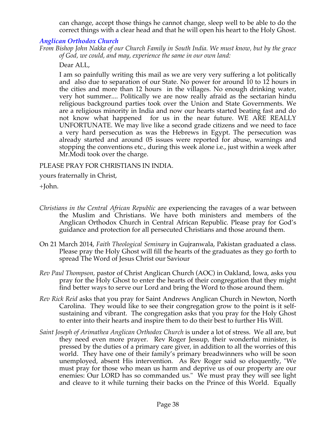can change, accept those things he cannot change, sleep well to be able to do the correct things with a clear head and that he will open his heart to the Holy Ghost.

## *Anglican Orthodox Church*

*From Bishop John Nakka of our Church Family in South India. We must know, but by the grace of God, we could, and may, experience the same in our own land:*

Dear ALL,

I am so painfully writing this mail as we are very very suffering a lot politically and also due to separation of our State. No power for around 10 to 12 hours in the cities and more than 12 hours in the villages. No enough drinking water, very hot summer.... Politically we are now really afraid as the sectarian hindu religious background parties took over the Union and State Governments. We are a religious minority in India and now our hearts started beating fast and do not know what happened for us in the near future. WE ARE REALLY UNFORTUNATE. We may live like a second grade citizens and we need to face a very hard persecution as was the Hebrews in Egypt. The persecution was already started and around 05 issues were reported for abuse, warnings and stopping the conventions etc., during this week alone i.e., just within a week after Mr.Modi took over the charge.

PLEASE PRAY FOR CHRISTIANS IN INDIA.

yours fraternally in Christ,

+John.

- *Christians in the Central African Republic* are experiencing the ravages of a war between the Muslim and Christians. We have both ministers and members of the Anglican Orthodox Church in Central African Republic. Please pray for God's guidance and protection for all persecuted Christians and those around them.
- On 21 March 2014, *Faith Theological Seminary* in Gujranwala, Pakistan graduated a class. Please pray the Holy Ghost will fill the hearts of the graduates as they go forth to spread The Word of Jesus Christ our Saviour
- *Rev Paul Thompson,* pastor of Christ Anglican Church (AOC) in Oakland, Iowa, asks you pray for the Holy Ghost to enter the hearts of their congregation that they might find better ways to serve our Lord and bring the Word to those around them.
- *Rev Rick Reid* asks that you pray for Saint Andrews Anglican Church in Newton, North Carolina. They would like to see their congregation grow to the point is it selfsustaining and vibrant. The congregation asks that you pray for the Holy Ghost to enter into their hearts and inspire them to do their best to further His Will.
- *Saint Joseph of Arimathea Anglican Orthodox Church* is under a lot of stress. We all are, but they need even more prayer. Rev Roger Jessup, their wonderful minister, is pressed by the duties of a primary care giver, in addition to all the worries of this world. They have one of their family's primary breadwinners who will be soon unemployed, absent His intervention. As Rev Roger said so eloquently, "We must pray for those who mean us harm and deprive us of our property are our enemies: Our LORD has so commanded us." We must pray they will see light and cleave to it while turning their backs on the Prince of this World. Equally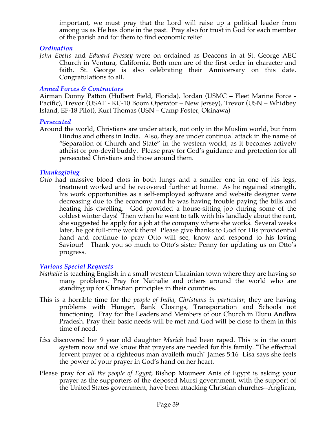important, we must pray that the Lord will raise up a political leader from among us as He has done in the past. Pray also for trust in God for each member of the parish and for them to find economic relief.

### *Ordination*

*John Evetts* and *Edward Pressey* were on ordained as Deacons in at St. George AEC Church in Ventura, California. Both men are of the first order in character and faith. St. George is also celebrating their Anniversary on this date. Congratulations to all.

## *Armed Forces & Contractors*

Airman Donny Patton (Hulbert Field, Florida), Jordan (USMC – Fleet Marine Force - Pacific), Trevor (USAF - KC-10 Boom Operator – New Jersey), Trevor (USN – Whidbey Island, EF-18 Pilot), Kurt Thomas (USN – Camp Foster, Okinawa)

### *Persecuted*

Around the world, Christians are under attack, not only in the Muslim world, but from Hindus and others in India. Also, they are under continual attack in the name of "Separation of Church and State" in the western world, as it becomes actively atheist or pro-devil buddy. Please pray for God's guidance and protection for all persecuted Christians and those around them.

## *Thanksgiving*

*Otto* had massive blood clots in both lungs and a smaller one in one of his legs, treatment worked and he recovered further at home. As he regained strength, his work opportunities as a self-employed software and website designer were decreasing due to the economy and he was having trouble paying the bills and heating his dwelling. God provided a house-sitting job during some of the coldest winter days! Then when he went to talk with his landlady about the rent, she suggested he apply for a job at the company where she works. Several weeks later, he got full-time work there! Please give thanks to God for His providential hand and continue to pray Otto will see, know and respond to his loving Saviour! Thank you so much to Otto's sister Penny for updating us on Otto's progress.

## *Various Special Requests*

- *Nathalie* is teaching English in a small western Ukrainian town where they are having so many problems. Pray for Nathalie and others around the world who are standing up for Christian principles in their countries.
- This is a horrible time for the *people of India, Christians in particular*; they are having problems with Hunger, Bank Closings, Transportation and Schools not functioning. Pray for the Leaders and Members of our Church in Eluru Andhra Pradesh. Pray their basic needs will be met and God will be close to them in this time of need.
- *Lisa* discovered her 9 year old daughter *Mariah* had been raped. This is in the court system now and we know that prayers are needed for this family. "The effectual fervent prayer of a righteous man availeth much" James 5:16 Lisa says she feels the power of your prayer in God's hand on her heart.
- Please pray for *all the people of Egypt*; Bishop Mouneer Anis of Egypt is asking your prayer as the supporters of the deposed Mursi government, with the support of the United States government, have been attacking Christian churches--Anglican,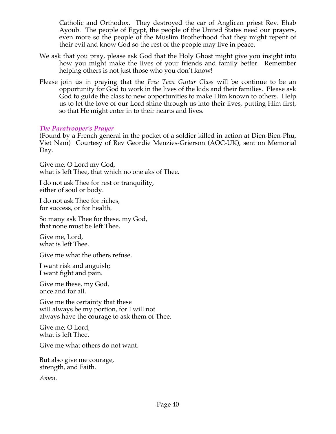Catholic and Orthodox. They destroyed the car of Anglican priest Rev. Ehab Ayoub. The people of Egypt, the people of the United States need our prayers, even more so the people of the Muslim Brotherhood that they might repent of their evil and know God so the rest of the people may live in peace.

- We ask that you pray, please ask God that the Holy Ghost might give you insight into how you might make the lives of your friends and family better. Remember helping others is not just those who you don't know!
- Please join us in praying that the *Free Teen Guitar Class* will be continue to be an opportunity for God to work in the lives of the kids and their families. Please ask God to guide the class to new opportunities to make Him known to others. Help us to let the love of our Lord shine through us into their lives, putting Him first, so that He might enter in to their hearts and lives.

### *The Paratrooper's Prayer*

(Found by a French general in the pocket of a soldier killed in action at Dien-Bien-Phu, Viet Nam) Courtesy of Rev Geordie Menzies-Grierson (AOC-UK), sent on Memorial Day.

Give me, O Lord my God, what is left Thee, that which no one aks of Thee.

I do not ask Thee for rest or tranquility, either of soul or body.

I do not ask Thee for riches, for success, or for health.

So many ask Thee for these, my God, that none must be left Thee.

Give me, Lord, what is left Thee.

Give me what the others refuse.

I want risk and anguish; I want fight and pain.

Give me these, my God, once and for all.

Give me the certainty that these will always be my portion, for I will not always have the courage to ask them of Thee.

Give me, O Lord, what is left Thee.

Give me what others do not want.

But also give me courage, strength, and Faith.

*Amen*.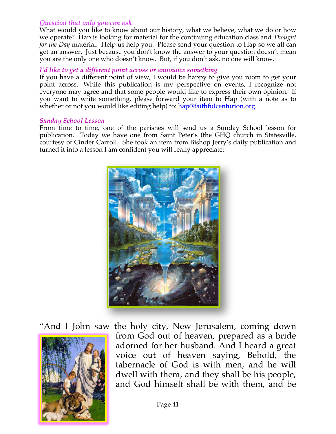### *Question that only you can ask*

What would you like to know about our history, what we believe, what we do or how we operate? Hap is looking for material for the continuing education class and *Thought for the Day* material. Help us help you. Please send your question to Hap so we all can get an answer. Just because you don't know the answer to your question doesn't mean you are the only one who doesn't know. But, if you don't ask, no one will know.

## *I'd like to get a different point across or announce something*

If you have a different point of view, I would be happy to give you room to get your point across. While this publication is my perspective on events, I recognize not everyone may agree and that some people would like to express their own opinion. If you want to write something, please forward your item to Hap (with a note as to whether or not you would like editing help) to: hap@faithfulcenturion.org.

#### *Sunday School Lesson*

From time to time, one of the parishes will send us a Sunday School lesson for publication. Today we have one from Saint Peter's (the GHQ church in Statesville, courtesy of Cinder Carroll. She took an item from Bishop Jerry's daily publication and turned it into a lesson I am confident you will really appreciate:



"And I John saw the holy city, New Jerusalem, coming down



from God out of heaven, prepared as a bride adorned for her husband. And I heard a great voice out of heaven saying, Behold, the tabernacle of God is with men, and he will dwell with them, and they shall be his people, and God himself shall be with them, and be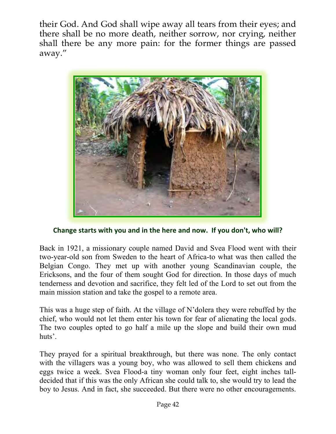their God. And God shall wipe away all tears from their eyes; and there shall be no more death, neither sorrow, nor crying, neither shall there be any more pain: for the former things are passed away."



Change starts with you and in the here and now. If you don't, who will?

Back in 1921, a missionary couple named David and Svea Flood went with their two-year-old son from Sweden to the heart of Africa-to what was then called the Belgian Congo. They met up with another young Scandinavian couple, the Ericksons, and the four of them sought God for direction. In those days of much tenderness and devotion and sacrifice, they felt led of the Lord to set out from the main mission station and take the gospel to a remote area.

This was a huge step of faith. At the village of N'dolera they were rebuffed by the chief, who would not let them enter his town for fear of alienating the local gods. The two couples opted to go half a mile up the slope and build their own mud huts'.

They prayed for a spiritual breakthrough, but there was none. The only contact with the villagers was a young boy, who was allowed to sell them chickens and eggs twice a week. Svea Flood-a tiny woman only four feet, eight inches talldecided that if this was the only African she could talk to, she would try to lead the boy to Jesus. And in fact, she succeeded. But there were no other encouragements.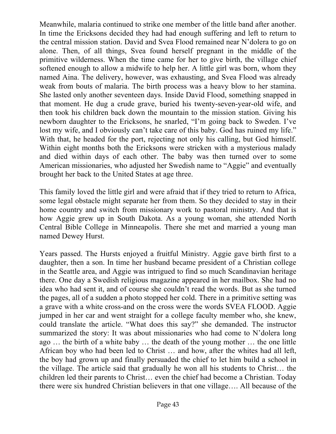Meanwhile, malaria continued to strike one member of the little band after another. In time the Ericksons decided they had had enough suffering and left to return to the central mission station. David and Svea Flood remained near N'dolera to go on alone. Then, of all things, Svea found herself pregnant in the middle of the primitive wilderness. When the time came for her to give birth, the village chief softened enough to allow a midwife to help her. A little girl was born, whom they named Aina. The delivery, however, was exhausting, and Svea Flood was already weak from bouts of malaria. The birth process was a heavy blow to her stamina. She lasted only another seventeen days. Inside David Flood, something snapped in that moment. He dug a crude grave, buried his twenty-seven-year-old wife, and then took his children back down the mountain to the mission station. Giving his newborn daughter to the Ericksons, he snarled, "I'm going back to Sweden. I've lost my wife, and I obviously can't take care of this baby. God has ruined my life." With that, he headed for the port, rejecting not only his calling, but God himself. Within eight months both the Ericksons were stricken with a mysterious malady and died within days of each other. The baby was then turned over to some American missionaries, who adjusted her Swedish name to "Aggie" and eventually brought her back to the United States at age three.

This family loved the little girl and were afraid that if they tried to return to Africa, some legal obstacle might separate her from them. So they decided to stay in their home country and switch from missionary work to pastoral ministry. And that is how Aggie grew up in South Dakota. As a young woman, she attended North Central Bible College in Minneapolis. There she met and married a young man named Dewey Hurst.

Years passed. The Hursts enjoyed a fruitful Ministry. Aggie gave birth first to a daughter, then a son. In time her husband became president of a Christian college in the Seattle area, and Aggie was intrigued to find so much Scandinavian heritage there. One day a Swedish religious magazine appeared in her mailbox. She had no idea who had sent it, and of course she couldn't read the words. But as she turned the pages, all of a sudden a photo stopped her cold. There in a primitive setting was a grave with a white cross-and on the cross were the words SVEA FLOOD. Aggie jumped in her car and went straight for a college faculty member who, she knew, could translate the article. "What does this say?" she demanded. The instructor summarized the story: It was about missionaries who had come to N'dolera long ago … the birth of a white baby … the death of the young mother … the one little African boy who had been led to Christ … and how, after the whites had all left, the boy had grown up and finally persuaded the chief to let him build a school in the village. The article said that gradually he won all his students to Christ… the children led their parents to Christ… even the chief had become a Christian. Today there were six hundred Christian believers in that one village…. All because of the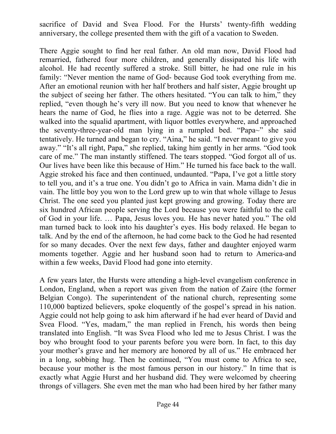sacrifice of David and Svea Flood. For the Hursts' twenty-fifth wedding anniversary, the college presented them with the gift of a vacation to Sweden.

There Aggie sought to find her real father. An old man now, David Flood had remarried, fathered four more children, and generally dissipated his life with alcohol. He had recently suffered a stroke. Still bitter, he had one rule in his family: "Never mention the name of God- because God took everything from me. After an emotional reunion with her half brothers and half sister, Aggie brought up the subject of seeing her father. The others hesitated. "You can talk to him," they replied, "even though he's very ill now. But you need to know that whenever he hears the name of God, he flies into a rage. Aggie was not to be deterred. She walked into the squalid apartment, with liquor bottles everywhere, and approached the seventy-three-year-old man lying in a rumpled bed. "Papa~" she said tentatively. He turned and began to cry. "Aina," he said. "I never meant to give you away." "It's all right, Papa," she replied, taking him gently in her arms. "God took care of me." The man instantly stiffened. The tears stopped. "God forgot all of us. Our lives have been like this because of Him." He turned his face back to the wall. Aggie stroked his face and then continued, undaunted. "Papa, I've got a little story to tell you, and it's a true one. You didn't go to Africa in vain. Mama didn't die in vain. The little boy you won to the Lord grew up to win that whole village to Jesus Christ. The one seed you planted just kept growing and growing. Today there are six hundred African people serving the Lord because you were faithful to the call of God in your life. … Papa, Jesus loves you. He has never hated you." The old man turned back to look into his daughter's eyes. His body relaxed. He began to talk. And by the end of the afternoon, he had come back to the God he had resented for so many decades. Over the next few days, father and daughter enjoyed warm moments together. Aggie and her husband soon had to return to America-and within a few weeks, David Flood had gone into eternity.

A few years later, the Hursts were attending a high-level evangelism conference in London, England, when a report was given from the nation of Zaire (the former Belgian Congo). The superintendent of the national church, representing some 110,000 baptized believers, spoke eloquently of the gospel's spread in his nation. Aggie could not help going to ask him afterward if he had ever heard of David and Svea Flood. "Yes, madam," the man replied in French, his words then being translated into English. "It was Svea Flood who led me to Jesus Christ. I was the boy who brought food to your parents before you were born. In fact, to this day your mother's grave and her memory are honored by all of us." He embraced her in a long, sobbing hug. Then he continued, "You must come to Africa to see, because your mother is the most famous person in our history." In time that is exactly what Aggie Hurst and her husband did. They were welcomed by cheering throngs of villagers. She even met the man who had been hired by her father many